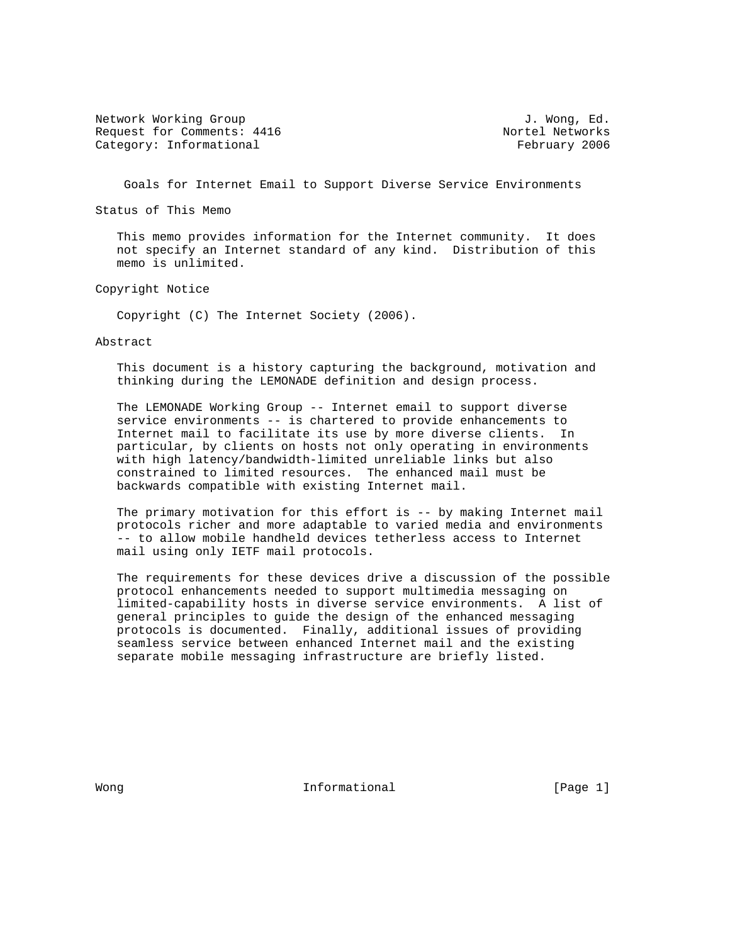Network Working Group and the set of the set of the set of the set of the set of the set of the set of the set of the set of the set of the set of the set of the set of the set of the set of the set of the set of the set o Request for Comments: 4416 Nortel Networks Category: Informational example of the Category: The Category: The Category: The Category: The Category: The Category: The Category: The Category: The Category: The Category: The Category: The Category: The Category: The C

Goals for Internet Email to Support Diverse Service Environments

Status of This Memo

 This memo provides information for the Internet community. It does not specify an Internet standard of any kind. Distribution of this memo is unlimited.

Copyright Notice

Copyright (C) The Internet Society (2006).

Abstract

 This document is a history capturing the background, motivation and thinking during the LEMONADE definition and design process.

 The LEMONADE Working Group -- Internet email to support diverse service environments -- is chartered to provide enhancements to Internet mail to facilitate its use by more diverse clients. In particular, by clients on hosts not only operating in environments with high latency/bandwidth-limited unreliable links but also constrained to limited resources. The enhanced mail must be backwards compatible with existing Internet mail.

 The primary motivation for this effort is -- by making Internet mail protocols richer and more adaptable to varied media and environments -- to allow mobile handheld devices tetherless access to Internet mail using only IETF mail protocols.

 The requirements for these devices drive a discussion of the possible protocol enhancements needed to support multimedia messaging on limited-capability hosts in diverse service environments. A list of general principles to guide the design of the enhanced messaging protocols is documented. Finally, additional issues of providing seamless service between enhanced Internet mail and the existing separate mobile messaging infrastructure are briefly listed.

Wong **Informational Informational Informational I**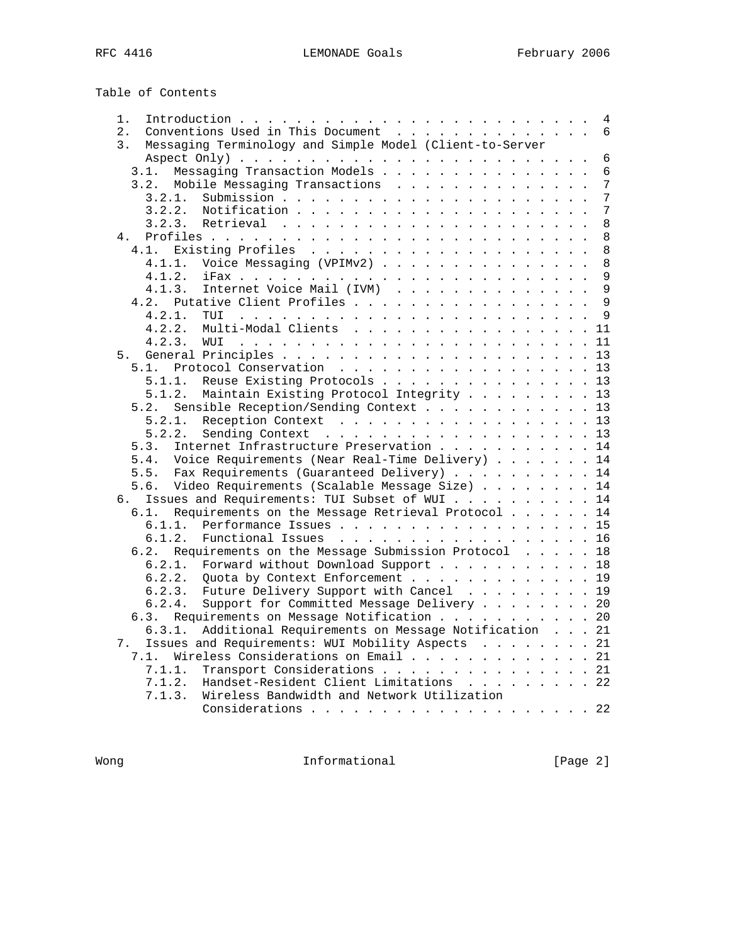| 1.                                                                                                                                                                                                                                              |  | 4              |
|-------------------------------------------------------------------------------------------------------------------------------------------------------------------------------------------------------------------------------------------------|--|----------------|
| $\overline{2}$ .<br>Conventions Used in This Document                                                                                                                                                                                           |  | 6              |
| Messaging Terminology and Simple Model (Client-to-Server<br>3.                                                                                                                                                                                  |  |                |
|                                                                                                                                                                                                                                                 |  | 6              |
| Messaging Transaction Models<br>3.1.                                                                                                                                                                                                            |  | 6              |
| Mobile Messaging Transactions<br>3.2.                                                                                                                                                                                                           |  | $\overline{7}$ |
| 3.2.1.                                                                                                                                                                                                                                          |  | 7              |
| 3.2.2.                                                                                                                                                                                                                                          |  | $\overline{7}$ |
| 3.2.3.                                                                                                                                                                                                                                          |  | 8              |
| 4.                                                                                                                                                                                                                                              |  | 8              |
| 4.1.                                                                                                                                                                                                                                            |  | 8              |
| Voice Messaging (VPIMv2)<br>4.1.1.                                                                                                                                                                                                              |  | 8              |
| 4.1.2.                                                                                                                                                                                                                                          |  | 9              |
| Internet Voice Mail (IVM)<br>4.1.3.                                                                                                                                                                                                             |  | 9              |
| Putative Client Profiles<br>4.2.                                                                                                                                                                                                                |  | $\mathsf{Q}$   |
| 4.2.1.<br>TUI<br>and the company of the company of the company of the company of the company of the company of the company of the company of the company of the company of the company of the company of the company of the company of the comp |  | 9              |
| 4.2.2.<br>Multi-Modal Clients                                                                                                                                                                                                                   |  | 11             |
| 4.2.3.                                                                                                                                                                                                                                          |  | 11             |
| 5.                                                                                                                                                                                                                                              |  |                |
| Protocol Conservation 13<br>5.1.                                                                                                                                                                                                                |  |                |
| Reuse Existing Protocols 13<br>5.1.1.                                                                                                                                                                                                           |  |                |
| 5.1.2.<br>Maintain Existing Protocol Integrity 13                                                                                                                                                                                               |  |                |
| Sensible Reception/Sending Context 13<br>5.2.                                                                                                                                                                                                   |  |                |
| 5.2.1.<br>Reception Context 13                                                                                                                                                                                                                  |  |                |
| Sending Context 13<br>5.2.2.                                                                                                                                                                                                                    |  |                |
| Internet Infrastructure Preservation 14<br>5.3.                                                                                                                                                                                                 |  |                |
| Voice Requirements (Near Real-Time Delivery) 14<br>5.4.                                                                                                                                                                                         |  |                |
| Fax Requirements (Guaranteed Delivery) 14<br>5.5.                                                                                                                                                                                               |  |                |
| Video Requirements (Scalable Message Size) 14<br>5.6.                                                                                                                                                                                           |  |                |
| Issues and Requirements: TUI Subset of WUI 14<br>б.                                                                                                                                                                                             |  |                |
| Requirements on the Message Retrieval Protocol 14<br>6.1.                                                                                                                                                                                       |  |                |
| 6.1.1.<br>Performance Issues 15                                                                                                                                                                                                                 |  |                |
| 6.1.2.<br>Functional Issues 16                                                                                                                                                                                                                  |  |                |
| Requirements on the Message Submission Protocol 18<br>6.2.                                                                                                                                                                                      |  |                |
| Forward without Download Support 18<br>6.2.1.                                                                                                                                                                                                   |  |                |
| Quota by Context Enforcement 19<br>6.2.2.                                                                                                                                                                                                       |  |                |
| Future Delivery Support with Cancel 19<br>6.2.3.                                                                                                                                                                                                |  |                |
| Support for Committed Message Delivery 20<br>6.2.4.                                                                                                                                                                                             |  |                |
| Requirements on Message Notification 20<br>6.3.                                                                                                                                                                                                 |  |                |
| Additional Requirements on Message Notification 21<br>6.3.1.                                                                                                                                                                                    |  |                |
| Issues and Requirements: WUI Mobility Aspects 21<br>7.                                                                                                                                                                                          |  |                |
| Wireless Considerations on Email 21<br>7.1.                                                                                                                                                                                                     |  |                |
| Transport Considerations 21<br>7.1.1.                                                                                                                                                                                                           |  |                |
| Handset-Resident Client Limitations 22<br>7.1.2.                                                                                                                                                                                                |  |                |
| Wireless Bandwidth and Network Utilization<br>7.1.3.                                                                                                                                                                                            |  |                |
|                                                                                                                                                                                                                                                 |  |                |

Wong **Informational Informational** [Page 2]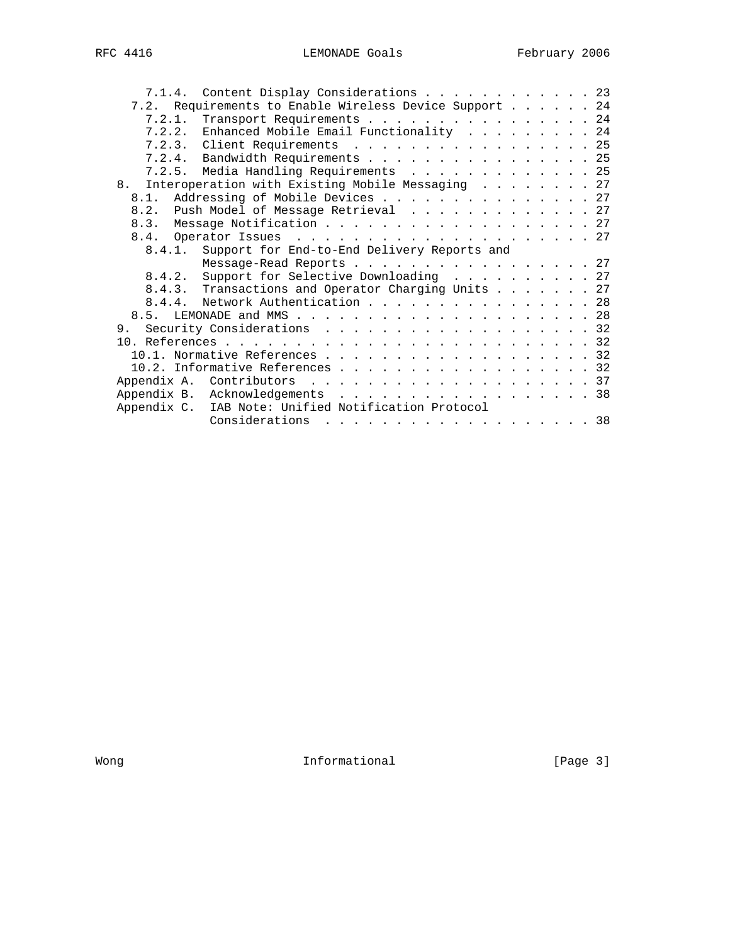| 7.1.4. Content Display Considerations 23                                 |  |  |  |
|--------------------------------------------------------------------------|--|--|--|
| 7.2. Requirements to Enable Wireless Device Support 24                   |  |  |  |
| 7.2.1. Transport Requirements 24                                         |  |  |  |
| 7.2.2. Enhanced Mobile Email Functionality 24                            |  |  |  |
| 7.2.3. Client Requirements 25                                            |  |  |  |
| 7.2.4. Bandwidth Requirements 25                                         |  |  |  |
| 7.2.5. Media Handling Requirements 25                                    |  |  |  |
| 8 <sub>1</sub><br>Interoperation with Existing Mobile Messaging 27       |  |  |  |
| 8.1. Addressing of Mobile Devices 27                                     |  |  |  |
| 8.2. Push Model of Message Retrieval 27                                  |  |  |  |
| 8.3. Message Notification 27                                             |  |  |  |
|                                                                          |  |  |  |
| 8.4.1. Support for End-to-End Delivery Reports and                       |  |  |  |
| Message-Read Reports 27                                                  |  |  |  |
| 8.4.2. Support for Selective Downloading 27                              |  |  |  |
| 8.4.3. Transactions and Operator Charging Units 27                       |  |  |  |
| 8.4.4. Network Authentication 28                                         |  |  |  |
|                                                                          |  |  |  |
| 9. Security Considerations 32                                            |  |  |  |
|                                                                          |  |  |  |
|                                                                          |  |  |  |
| 10.1. Normative References 32                                            |  |  |  |
| 10.2. Informative References 32                                          |  |  |  |
|                                                                          |  |  |  |
| Appendix B. Acknowledgements 38                                          |  |  |  |
| Appendix C. IAB Note: Unified Notification Protocol<br>Considerations 38 |  |  |  |

Wong **Informational Informational** [Page 3]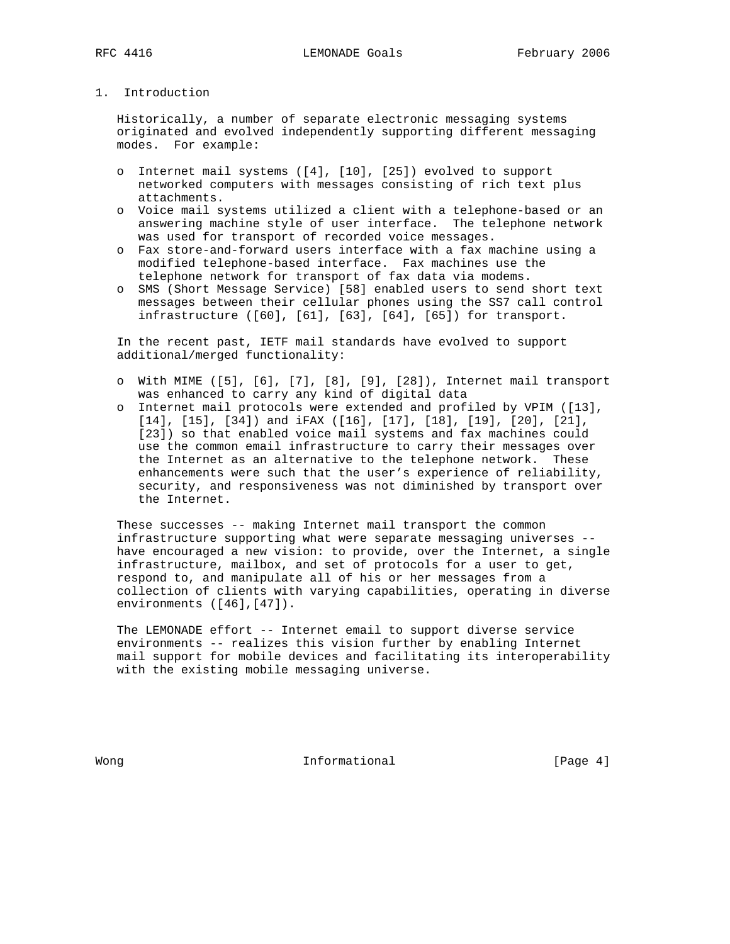# 1. Introduction

 Historically, a number of separate electronic messaging systems originated and evolved independently supporting different messaging modes. For example:

- o Internet mail systems ([4], [10], [25]) evolved to support networked computers with messages consisting of rich text plus attachments.
- o Voice mail systems utilized a client with a telephone-based or an answering machine style of user interface. The telephone network was used for transport of recorded voice messages.
- o Fax store-and-forward users interface with a fax machine using a modified telephone-based interface. Fax machines use the telephone network for transport of fax data via modems.
- o SMS (Short Message Service) [58] enabled users to send short text messages between their cellular phones using the SS7 call control infrastructure ([60], [61], [63], [64], [65]) for transport.

 In the recent past, IETF mail standards have evolved to support additional/merged functionality:

- o With MIME ([5], [6], [7], [8], [9], [28]), Internet mail transport was enhanced to carry any kind of digital data
- o Internet mail protocols were extended and profiled by VPIM ([13], [14], [15], [34]) and iFAX ([16], [17], [18], [19], [20], [21], [23]) so that enabled voice mail systems and fax machines could use the common email infrastructure to carry their messages over the Internet as an alternative to the telephone network. These enhancements were such that the user's experience of reliability, security, and responsiveness was not diminished by transport over the Internet.

 These successes -- making Internet mail transport the common infrastructure supporting what were separate messaging universes - have encouraged a new vision: to provide, over the Internet, a single infrastructure, mailbox, and set of protocols for a user to get, respond to, and manipulate all of his or her messages from a collection of clients with varying capabilities, operating in diverse environments ([46],[47]).

 The LEMONADE effort -- Internet email to support diverse service environments -- realizes this vision further by enabling Internet mail support for mobile devices and facilitating its interoperability with the existing mobile messaging universe.

Wong **Informational Informational Informational I**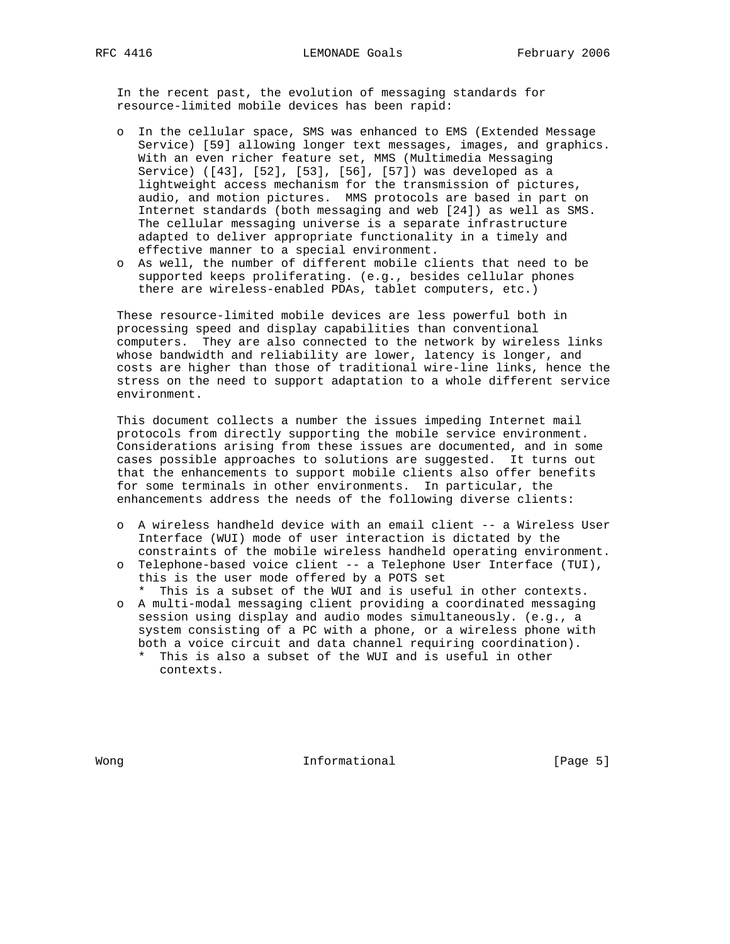In the recent past, the evolution of messaging standards for resource-limited mobile devices has been rapid:

- o In the cellular space, SMS was enhanced to EMS (Extended Message Service) [59] allowing longer text messages, images, and graphics. With an even richer feature set, MMS (Multimedia Messaging Service) ([43], [52], [53], [56], [57]) was developed as a lightweight access mechanism for the transmission of pictures, audio, and motion pictures. MMS protocols are based in part on Internet standards (both messaging and web [24]) as well as SMS. The cellular messaging universe is a separate infrastructure adapted to deliver appropriate functionality in a timely and effective manner to a special environment.
- o As well, the number of different mobile clients that need to be supported keeps proliferating. (e.g., besides cellular phones there are wireless-enabled PDAs, tablet computers, etc.)

 These resource-limited mobile devices are less powerful both in processing speed and display capabilities than conventional computers. They are also connected to the network by wireless links whose bandwidth and reliability are lower, latency is longer, and costs are higher than those of traditional wire-line links, hence the stress on the need to support adaptation to a whole different service environment.

 This document collects a number the issues impeding Internet mail protocols from directly supporting the mobile service environment. Considerations arising from these issues are documented, and in some cases possible approaches to solutions are suggested. It turns out that the enhancements to support mobile clients also offer benefits for some terminals in other environments. In particular, the enhancements address the needs of the following diverse clients:

- o A wireless handheld device with an email client -- a Wireless User Interface (WUI) mode of user interaction is dictated by the constraints of the mobile wireless handheld operating environment.
- o Telephone-based voice client -- a Telephone User Interface (TUI), this is the user mode offered by a POTS set \* This is a subset of the WUI and is useful in other contexts.
- o A multi-modal messaging client providing a coordinated messaging session using display and audio modes simultaneously. (e.g., a system consisting of a PC with a phone, or a wireless phone with both a voice circuit and data channel requiring coordination).
	- \* This is also a subset of the WUI and is useful in other contexts.

Wong **Informational Informational Informational** [Page 5]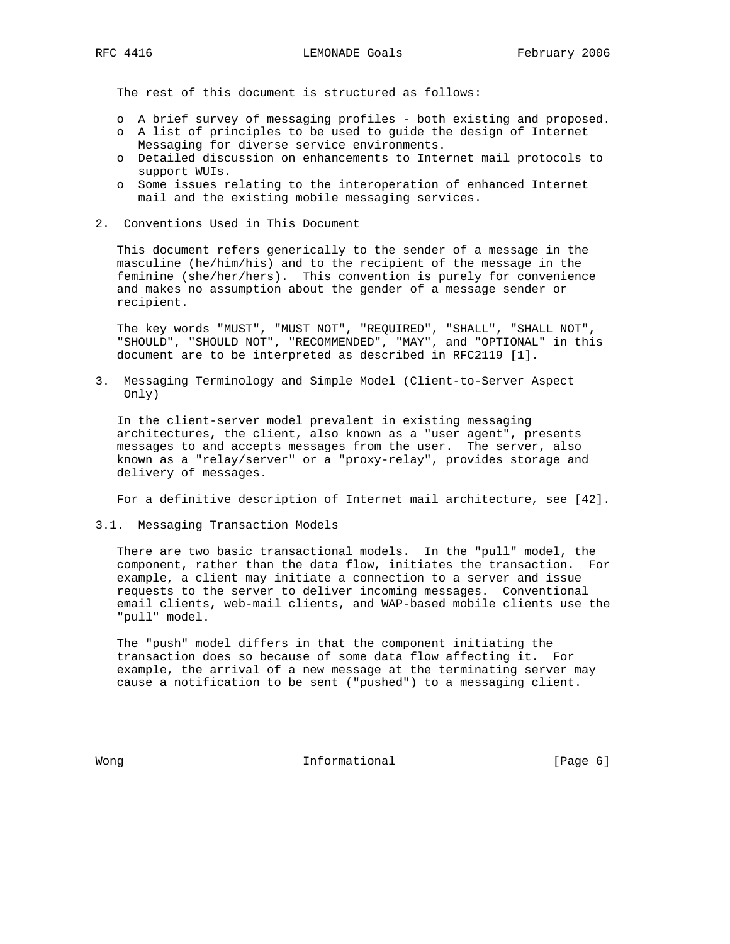The rest of this document is structured as follows:

- o A brief survey of messaging profiles both existing and proposed.
- o A list of principles to be used to guide the design of Internet Messaging for diverse service environments.
- o Detailed discussion on enhancements to Internet mail protocols to support WUIs.
- o Some issues relating to the interoperation of enhanced Internet mail and the existing mobile messaging services.
- 2. Conventions Used in This Document

 This document refers generically to the sender of a message in the masculine (he/him/his) and to the recipient of the message in the feminine (she/her/hers). This convention is purely for convenience and makes no assumption about the gender of a message sender or recipient.

 The key words "MUST", "MUST NOT", "REQUIRED", "SHALL", "SHALL NOT", "SHOULD", "SHOULD NOT", "RECOMMENDED", "MAY", and "OPTIONAL" in this document are to be interpreted as described in RFC2119 [1].

3. Messaging Terminology and Simple Model (Client-to-Server Aspect Only)

 In the client-server model prevalent in existing messaging architectures, the client, also known as a "user agent", presents messages to and accepts messages from the user. The server, also known as a "relay/server" or a "proxy-relay", provides storage and delivery of messages.

For a definitive description of Internet mail architecture, see [42].

3.1. Messaging Transaction Models

 There are two basic transactional models. In the "pull" model, the component, rather than the data flow, initiates the transaction. For example, a client may initiate a connection to a server and issue requests to the server to deliver incoming messages. Conventional email clients, web-mail clients, and WAP-based mobile clients use the "pull" model.

 The "push" model differs in that the component initiating the transaction does so because of some data flow affecting it. For example, the arrival of a new message at the terminating server may cause a notification to be sent ("pushed") to a messaging client.

Wong **Informational Informational Informational** [Page 6]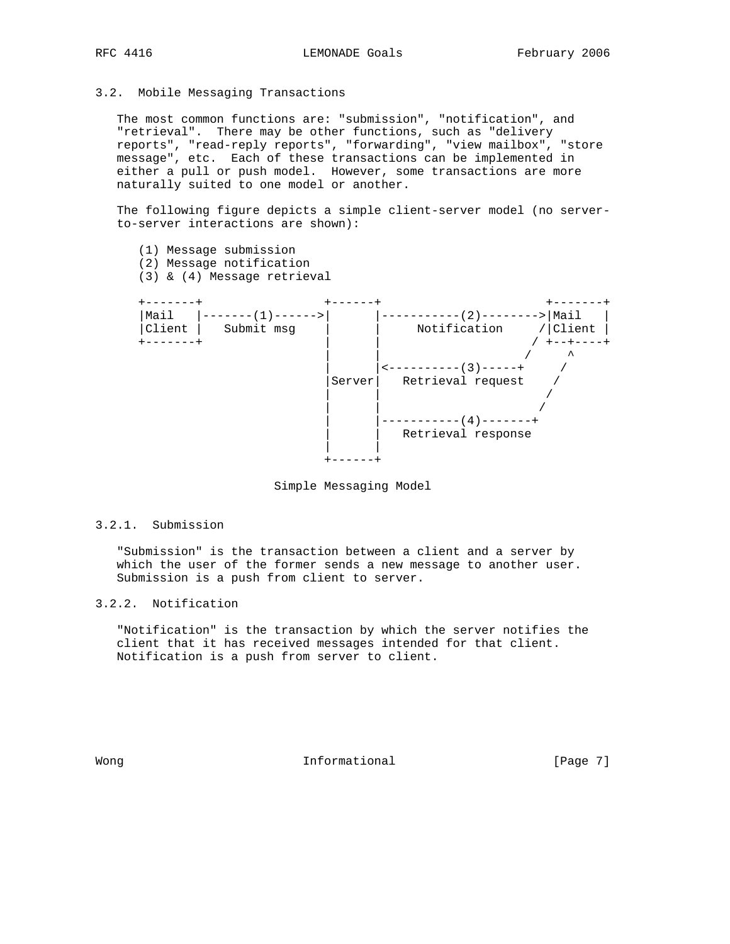3.2. Mobile Messaging Transactions

(1) Message submission

 The most common functions are: "submission", "notification", and "retrieval". There may be other functions, such as "delivery reports", "read-reply reports", "forwarding", "view mailbox", "store message", etc. Each of these transactions can be implemented in either a pull or push model. However, some transactions are more naturally suited to one model or another.

 The following figure depicts a simple client-server model (no server to-server interactions are shown):

 (2) Message notification (3) & (4) Message retrieval +-------+ +------+ +-------+ |Mail |-------(1)------>| |-----------(2)--------->|Mail | |Client | Submit msg | | Notification /|Client | +-------+ | | / +--+----+ | | / ^ | |<----------(3)-----+ / |Server| Retrieval request / | | / | | / | |-----------(4)-------+ Retrieval response | | +------+

Simple Messaging Model

#### 3.2.1. Submission

 "Submission" is the transaction between a client and a server by which the user of the former sends a new message to another user. Submission is a push from client to server.

## 3.2.2. Notification

 "Notification" is the transaction by which the server notifies the client that it has received messages intended for that client. Notification is a push from server to client.

Wong **Informational Informational Informational** [Page 7]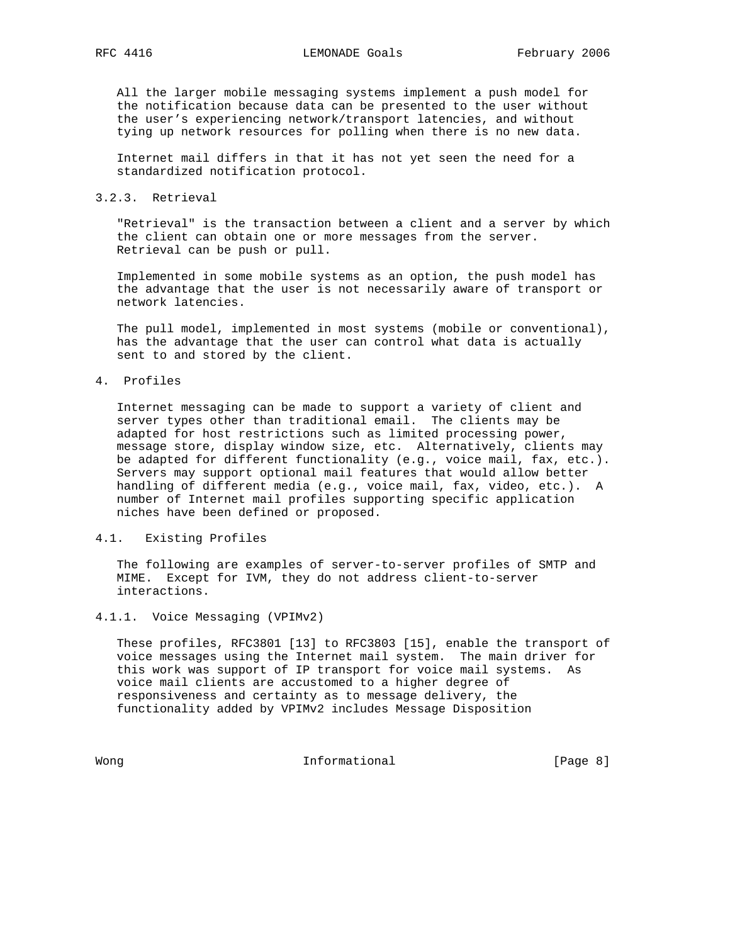All the larger mobile messaging systems implement a push model for the notification because data can be presented to the user without the user's experiencing network/transport latencies, and without tying up network resources for polling when there is no new data.

 Internet mail differs in that it has not yet seen the need for a standardized notification protocol.

#### 3.2.3. Retrieval

 "Retrieval" is the transaction between a client and a server by which the client can obtain one or more messages from the server. Retrieval can be push or pull.

 Implemented in some mobile systems as an option, the push model has the advantage that the user is not necessarily aware of transport or network latencies.

 The pull model, implemented in most systems (mobile or conventional), has the advantage that the user can control what data is actually sent to and stored by the client.

#### 4. Profiles

 Internet messaging can be made to support a variety of client and server types other than traditional email. The clients may be adapted for host restrictions such as limited processing power, message store, display window size, etc. Alternatively, clients may be adapted for different functionality (e.g., voice mail, fax, etc.). Servers may support optional mail features that would allow better handling of different media (e.g., voice mail, fax, video, etc.). A number of Internet mail profiles supporting specific application niches have been defined or proposed.

#### 4.1. Existing Profiles

 The following are examples of server-to-server profiles of SMTP and MIME. Except for IVM, they do not address client-to-server interactions.

#### 4.1.1. Voice Messaging (VPIMv2)

 These profiles, RFC3801 [13] to RFC3803 [15], enable the transport of voice messages using the Internet mail system. The main driver for this work was support of IP transport for voice mail systems. As voice mail clients are accustomed to a higher degree of responsiveness and certainty as to message delivery, the functionality added by VPIMv2 includes Message Disposition

Wong **Informational Informational Informational Informational**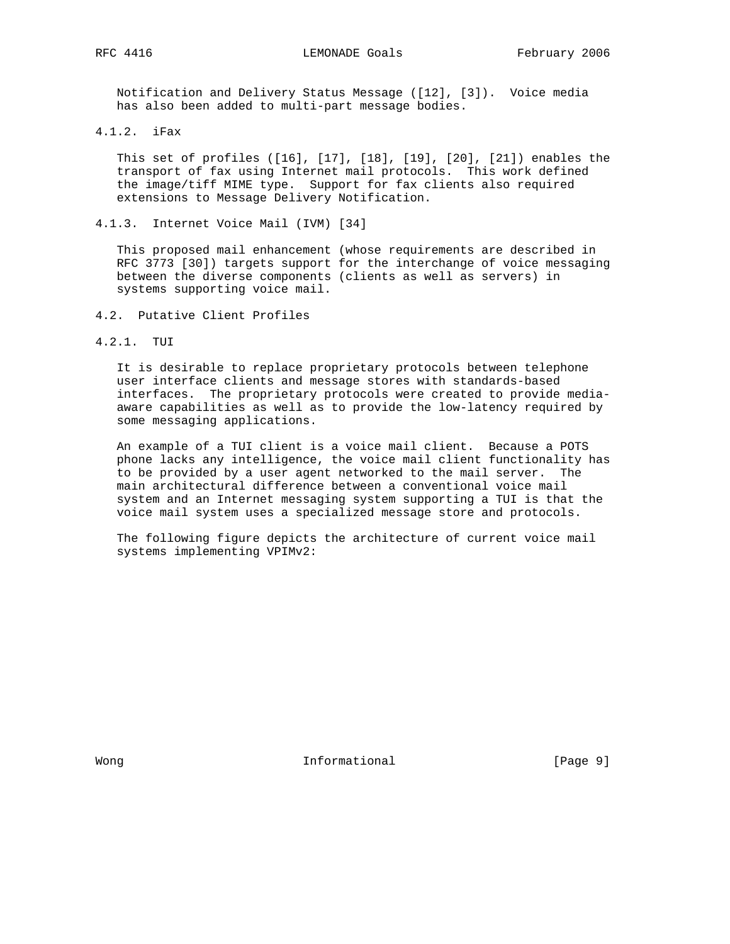Notification and Delivery Status Message ([12], [3]). Voice media has also been added to multi-part message bodies.

4.1.2. iFax

 This set of profiles ([16], [17], [18], [19], [20], [21]) enables the transport of fax using Internet mail protocols. This work defined the image/tiff MIME type. Support for fax clients also required extensions to Message Delivery Notification.

4.1.3. Internet Voice Mail (IVM) [34]

 This proposed mail enhancement (whose requirements are described in RFC 3773 [30]) targets support for the interchange of voice messaging between the diverse components (clients as well as servers) in systems supporting voice mail.

- 4.2. Putative Client Profiles
- 4.2.1. TUI

 It is desirable to replace proprietary protocols between telephone user interface clients and message stores with standards-based interfaces. The proprietary protocols were created to provide media aware capabilities as well as to provide the low-latency required by some messaging applications.

 An example of a TUI client is a voice mail client. Because a POTS phone lacks any intelligence, the voice mail client functionality has to be provided by a user agent networked to the mail server. The main architectural difference between a conventional voice mail system and an Internet messaging system supporting a TUI is that the voice mail system uses a specialized message store and protocols.

 The following figure depicts the architecture of current voice mail systems implementing VPIMv2:

Wong **Informational Informational Informational Informational**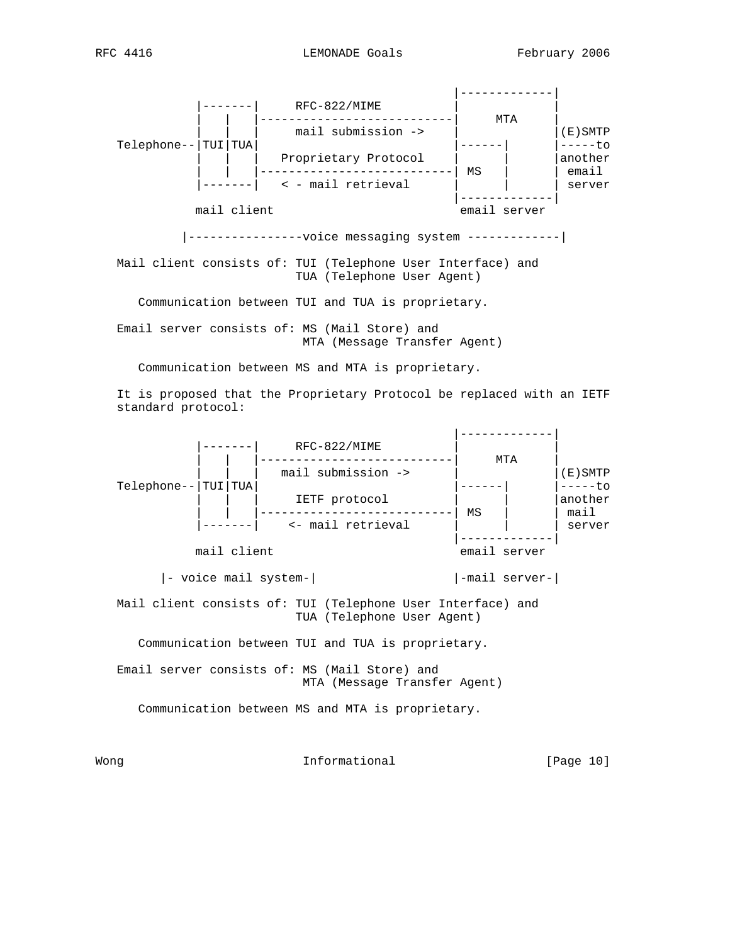

TUA (Telephone User Agent)

Communication between TUI and TUA is proprietary.

 Email server consists of: MS (Mail Store) and MTA (Message Transfer Agent)

Communication between MS and MTA is proprietary.

 It is proposed that the Proprietary Protocol be replaced with an IETF standard protocol:



Wong **Informational Informational Informational [Page 10]**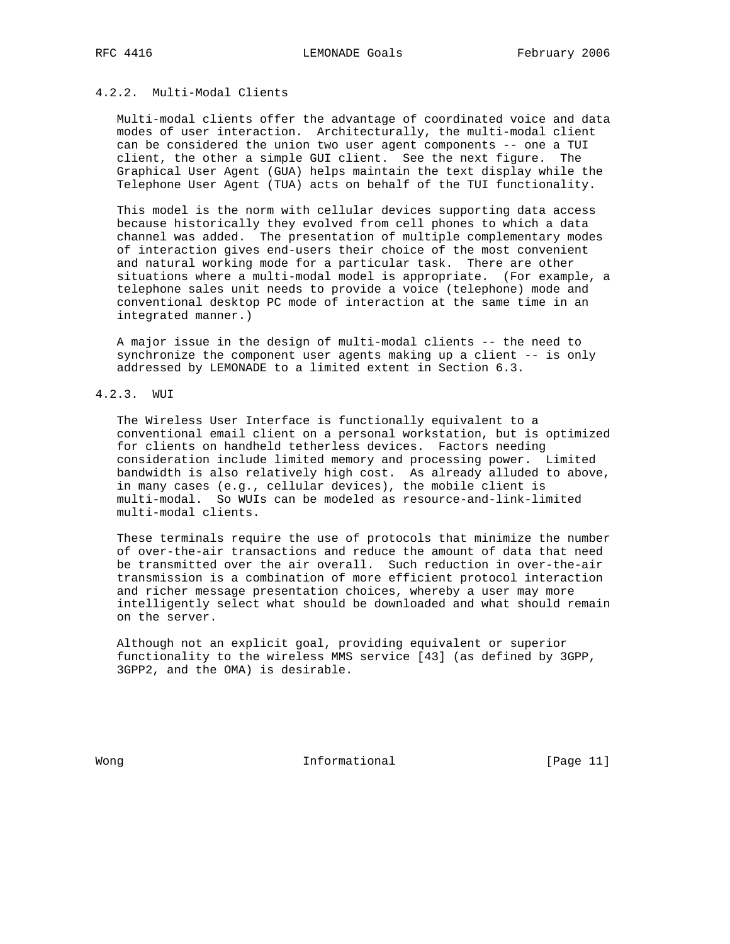# 4.2.2. Multi-Modal Clients

 Multi-modal clients offer the advantage of coordinated voice and data modes of user interaction. Architecturally, the multi-modal client can be considered the union two user agent components -- one a TUI client, the other a simple GUI client. See the next figure. The Graphical User Agent (GUA) helps maintain the text display while the Telephone User Agent (TUA) acts on behalf of the TUI functionality.

 This model is the norm with cellular devices supporting data access because historically they evolved from cell phones to which a data channel was added. The presentation of multiple complementary modes of interaction gives end-users their choice of the most convenient and natural working mode for a particular task. There are other situations where a multi-modal model is appropriate. (For example, a telephone sales unit needs to provide a voice (telephone) mode and conventional desktop PC mode of interaction at the same time in an integrated manner.)

 A major issue in the design of multi-modal clients -- the need to synchronize the component user agents making up a client -- is only addressed by LEMONADE to a limited extent in Section 6.3.

#### 4.2.3. WUI

 The Wireless User Interface is functionally equivalent to a conventional email client on a personal workstation, but is optimized for clients on handheld tetherless devices. Factors needing consideration include limited memory and processing power. Limited bandwidth is also relatively high cost. As already alluded to above, in many cases (e.g., cellular devices), the mobile client is multi-modal. So WUIs can be modeled as resource-and-link-limited multi-modal clients.

 These terminals require the use of protocols that minimize the number of over-the-air transactions and reduce the amount of data that need be transmitted over the air overall. Such reduction in over-the-air transmission is a combination of more efficient protocol interaction and richer message presentation choices, whereby a user may more intelligently select what should be downloaded and what should remain on the server.

 Although not an explicit goal, providing equivalent or superior functionality to the wireless MMS service [43] (as defined by 3GPP, 3GPP2, and the OMA) is desirable.

Wong **Informational Informational** [Page 11]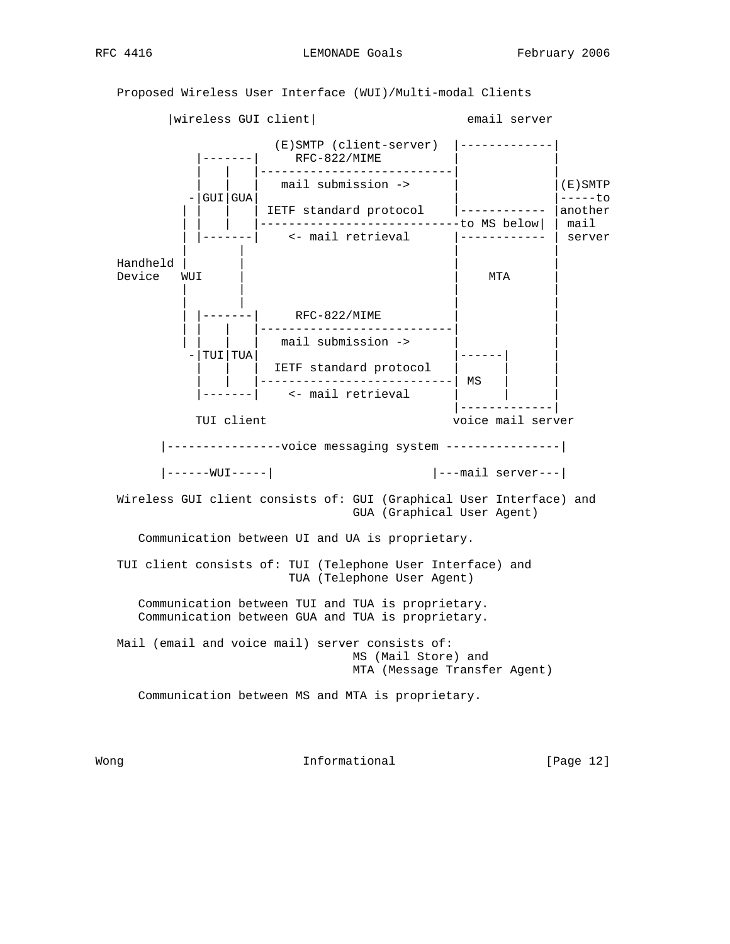Proposed Wireless User Interface (WUI)/Multi-modal Clients



Wong **Informational Informational Informational [Page 12]**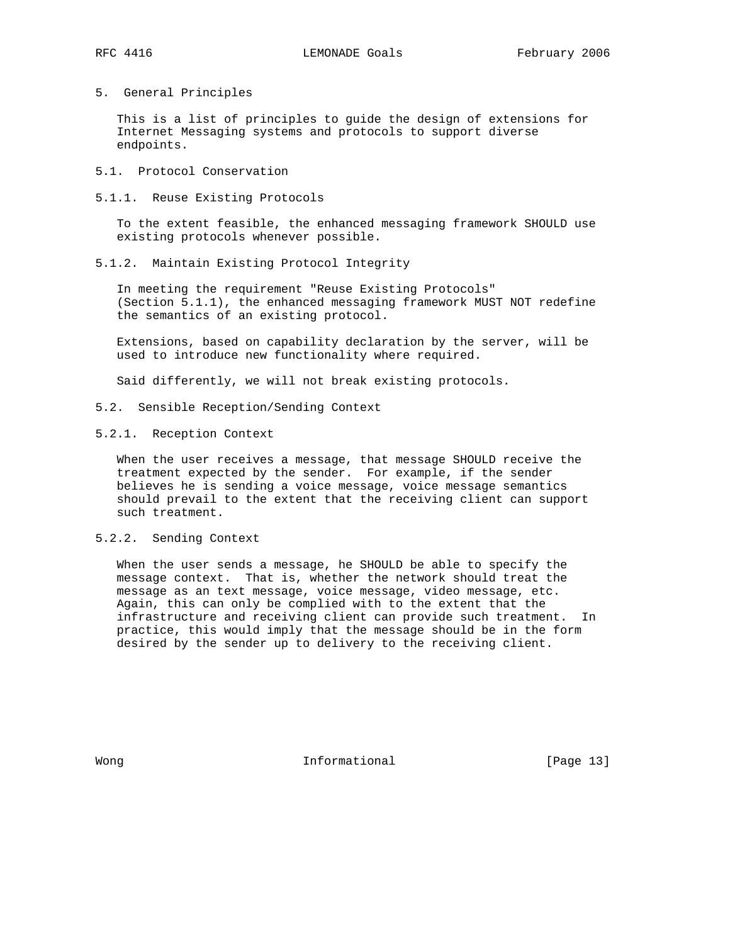5. General Principles

 This is a list of principles to guide the design of extensions for Internet Messaging systems and protocols to support diverse endpoints.

- 5.1. Protocol Conservation
- 5.1.1. Reuse Existing Protocols

 To the extent feasible, the enhanced messaging framework SHOULD use existing protocols whenever possible.

5.1.2. Maintain Existing Protocol Integrity

 In meeting the requirement "Reuse Existing Protocols" (Section 5.1.1), the enhanced messaging framework MUST NOT redefine the semantics of an existing protocol.

 Extensions, based on capability declaration by the server, will be used to introduce new functionality where required.

Said differently, we will not break existing protocols.

- 5.2. Sensible Reception/Sending Context
- 5.2.1. Reception Context

 When the user receives a message, that message SHOULD receive the treatment expected by the sender. For example, if the sender believes he is sending a voice message, voice message semantics should prevail to the extent that the receiving client can support such treatment.

5.2.2. Sending Context

 When the user sends a message, he SHOULD be able to specify the message context. That is, whether the network should treat the message as an text message, voice message, video message, etc. Again, this can only be complied with to the extent that the infrastructure and receiving client can provide such treatment. In practice, this would imply that the message should be in the form desired by the sender up to delivery to the receiving client.

Wong **Informational Informational Informational [Page 13]**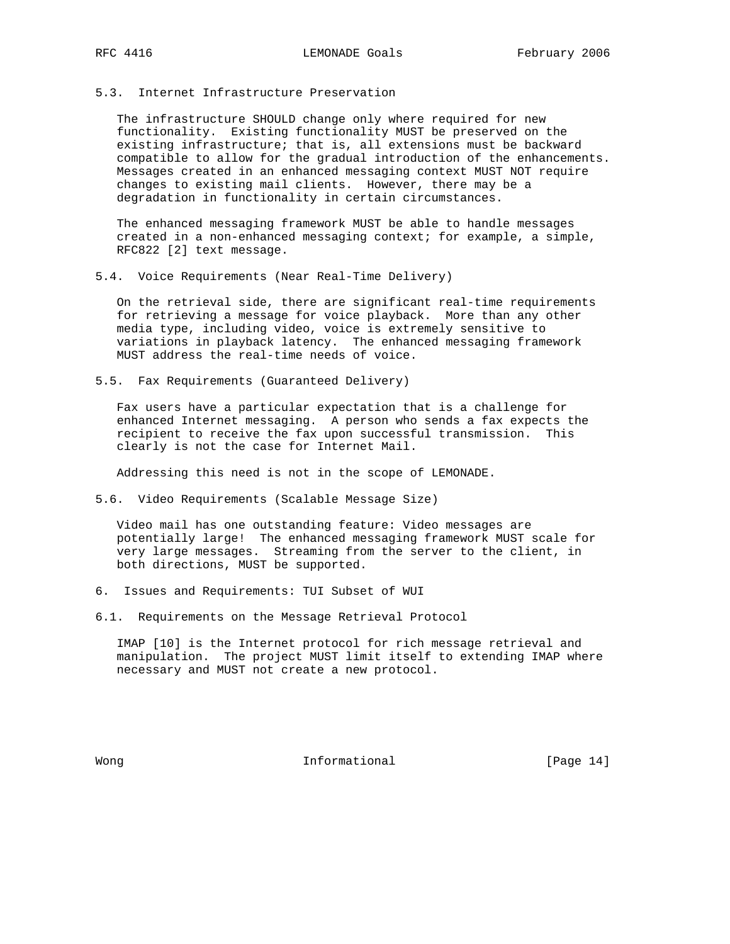#### 5.3. Internet Infrastructure Preservation

 The infrastructure SHOULD change only where required for new functionality. Existing functionality MUST be preserved on the existing infrastructure; that is, all extensions must be backward compatible to allow for the gradual introduction of the enhancements. Messages created in an enhanced messaging context MUST NOT require changes to existing mail clients. However, there may be a degradation in functionality in certain circumstances.

 The enhanced messaging framework MUST be able to handle messages created in a non-enhanced messaging context; for example, a simple, RFC822 [2] text message.

5.4. Voice Requirements (Near Real-Time Delivery)

 On the retrieval side, there are significant real-time requirements for retrieving a message for voice playback. More than any other media type, including video, voice is extremely sensitive to variations in playback latency. The enhanced messaging framework MUST address the real-time needs of voice.

5.5. Fax Requirements (Guaranteed Delivery)

 Fax users have a particular expectation that is a challenge for enhanced Internet messaging. A person who sends a fax expects the recipient to receive the fax upon successful transmission. This clearly is not the case for Internet Mail.

Addressing this need is not in the scope of LEMONADE.

5.6. Video Requirements (Scalable Message Size)

 Video mail has one outstanding feature: Video messages are potentially large! The enhanced messaging framework MUST scale for very large messages. Streaming from the server to the client, in both directions, MUST be supported.

- 6. Issues and Requirements: TUI Subset of WUI
- 6.1. Requirements on the Message Retrieval Protocol

 IMAP [10] is the Internet protocol for rich message retrieval and manipulation. The project MUST limit itself to extending IMAP where necessary and MUST not create a new protocol.

Wong **Informational Informational Informational I**Page 14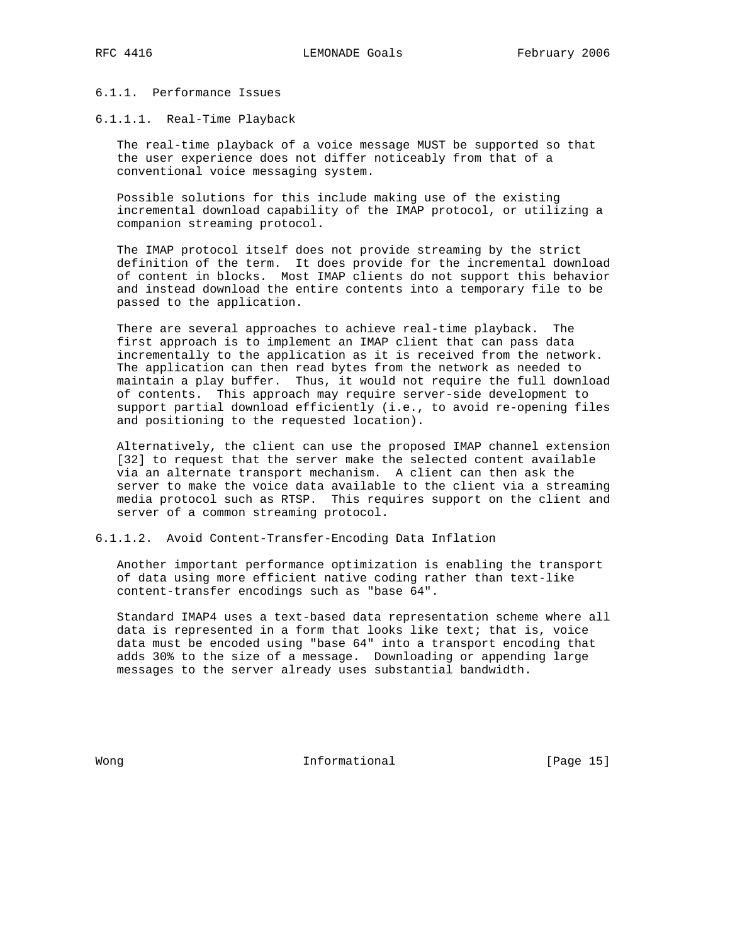## 6.1.1. Performance Issues

#### 6.1.1.1. Real-Time Playback

 The real-time playback of a voice message MUST be supported so that the user experience does not differ noticeably from that of a conventional voice messaging system.

 Possible solutions for this include making use of the existing incremental download capability of the IMAP protocol, or utilizing a companion streaming protocol.

 The IMAP protocol itself does not provide streaming by the strict definition of the term. It does provide for the incremental download of content in blocks. Most IMAP clients do not support this behavior and instead download the entire contents into a temporary file to be passed to the application.

 There are several approaches to achieve real-time playback. The first approach is to implement an IMAP client that can pass data incrementally to the application as it is received from the network. The application can then read bytes from the network as needed to maintain a play buffer. Thus, it would not require the full download of contents. This approach may require server-side development to support partial download efficiently (i.e., to avoid re-opening files and positioning to the requested location).

 Alternatively, the client can use the proposed IMAP channel extension [32] to request that the server make the selected content available via an alternate transport mechanism. A client can then ask the server to make the voice data available to the client via a streaming media protocol such as RTSP. This requires support on the client and server of a common streaming protocol.

#### 6.1.1.2. Avoid Content-Transfer-Encoding Data Inflation

 Another important performance optimization is enabling the transport of data using more efficient native coding rather than text-like content-transfer encodings such as "base 64".

 Standard IMAP4 uses a text-based data representation scheme where all data is represented in a form that looks like text; that is, voice data must be encoded using "base 64" into a transport encoding that adds 30% to the size of a message. Downloading or appending large messages to the server already uses substantial bandwidth.

Wong **Informational Informational Informational IE**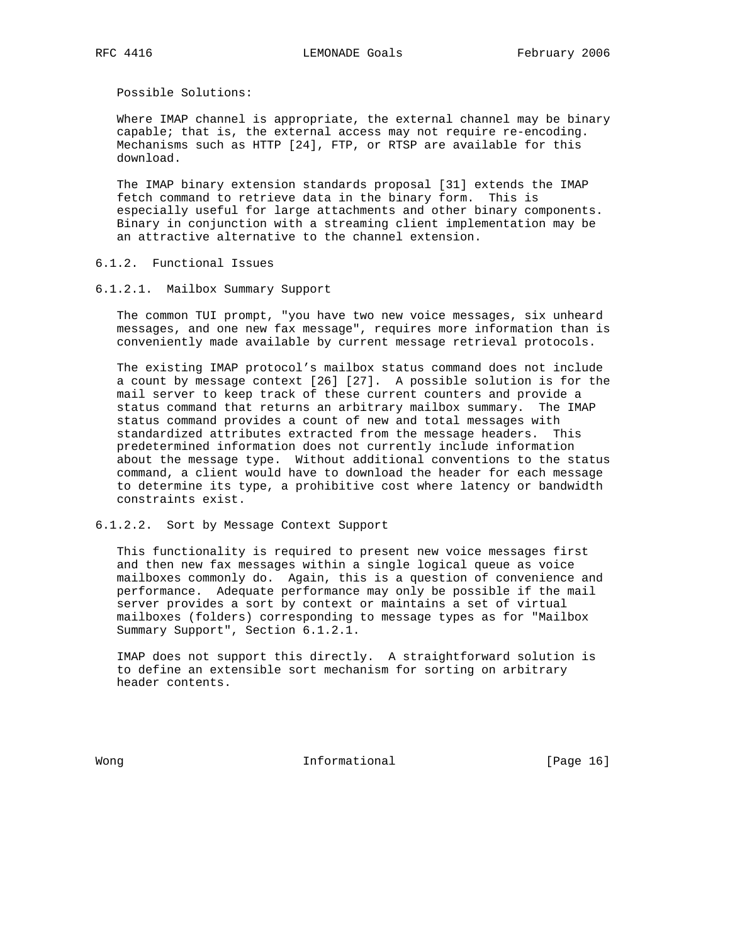Possible Solutions:

 Where IMAP channel is appropriate, the external channel may be binary capable; that is, the external access may not require re-encoding. Mechanisms such as HTTP [24], FTP, or RTSP are available for this download.

 The IMAP binary extension standards proposal [31] extends the IMAP fetch command to retrieve data in the binary form. This is especially useful for large attachments and other binary components. Binary in conjunction with a streaming client implementation may be an attractive alternative to the channel extension.

# 6.1.2. Functional Issues

# 6.1.2.1. Mailbox Summary Support

 The common TUI prompt, "you have two new voice messages, six unheard messages, and one new fax message", requires more information than is conveniently made available by current message retrieval protocols.

 The existing IMAP protocol's mailbox status command does not include a count by message context [26] [27]. A possible solution is for the mail server to keep track of these current counters and provide a status command that returns an arbitrary mailbox summary. The IMAP status command provides a count of new and total messages with standardized attributes extracted from the message headers. This predetermined information does not currently include information about the message type. Without additional conventions to the status command, a client would have to download the header for each message to determine its type, a prohibitive cost where latency or bandwidth constraints exist.

## 6.1.2.2. Sort by Message Context Support

 This functionality is required to present new voice messages first and then new fax messages within a single logical queue as voice mailboxes commonly do. Again, this is a question of convenience and performance. Adequate performance may only be possible if the mail server provides a sort by context or maintains a set of virtual mailboxes (folders) corresponding to message types as for "Mailbox Summary Support", Section 6.1.2.1.

 IMAP does not support this directly. A straightforward solution is to define an extensible sort mechanism for sorting on arbitrary header contents.

Wong **Informational Informational Informational IPage 16**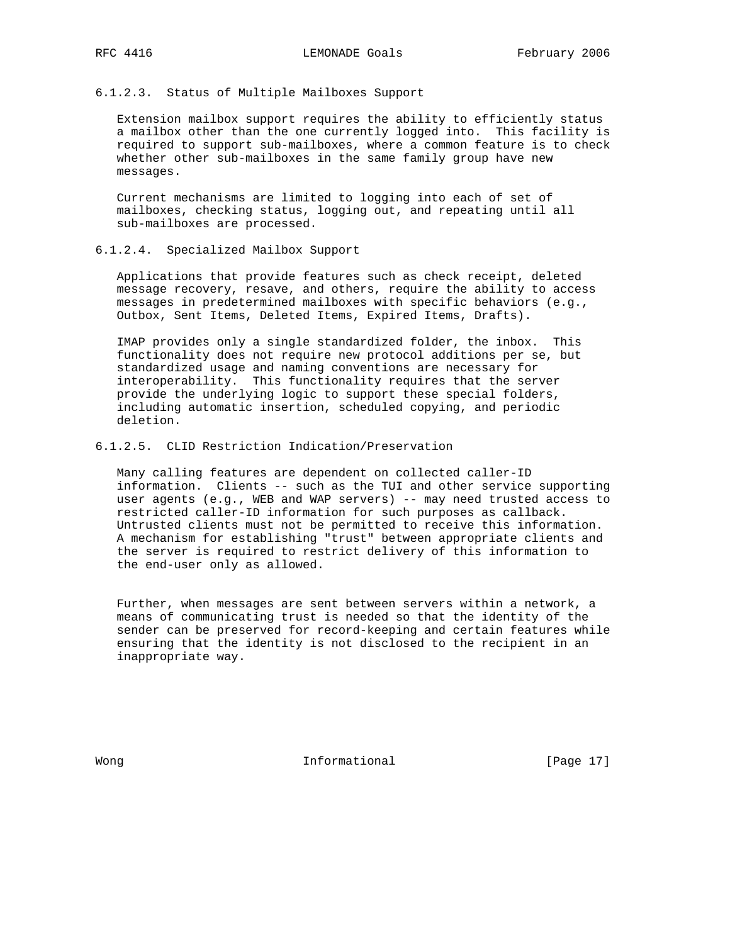#### 6.1.2.3. Status of Multiple Mailboxes Support

 Extension mailbox support requires the ability to efficiently status a mailbox other than the one currently logged into. This facility is required to support sub-mailboxes, where a common feature is to check whether other sub-mailboxes in the same family group have new messages.

 Current mechanisms are limited to logging into each of set of mailboxes, checking status, logging out, and repeating until all sub-mailboxes are processed.

#### 6.1.2.4. Specialized Mailbox Support

 Applications that provide features such as check receipt, deleted message recovery, resave, and others, require the ability to access messages in predetermined mailboxes with specific behaviors (e.g., Outbox, Sent Items, Deleted Items, Expired Items, Drafts).

 IMAP provides only a single standardized folder, the inbox. This functionality does not require new protocol additions per se, but standardized usage and naming conventions are necessary for interoperability. This functionality requires that the server provide the underlying logic to support these special folders, including automatic insertion, scheduled copying, and periodic deletion.

## 6.1.2.5. CLID Restriction Indication/Preservation

 Many calling features are dependent on collected caller-ID information. Clients -- such as the TUI and other service supporting user agents (e.g., WEB and WAP servers) -- may need trusted access to restricted caller-ID information for such purposes as callback. Untrusted clients must not be permitted to receive this information. A mechanism for establishing "trust" between appropriate clients and the server is required to restrict delivery of this information to the end-user only as allowed.

 Further, when messages are sent between servers within a network, a means of communicating trust is needed so that the identity of the sender can be preserved for record-keeping and certain features while ensuring that the identity is not disclosed to the recipient in an inappropriate way.

Wong **Informational Informational** [Page 17]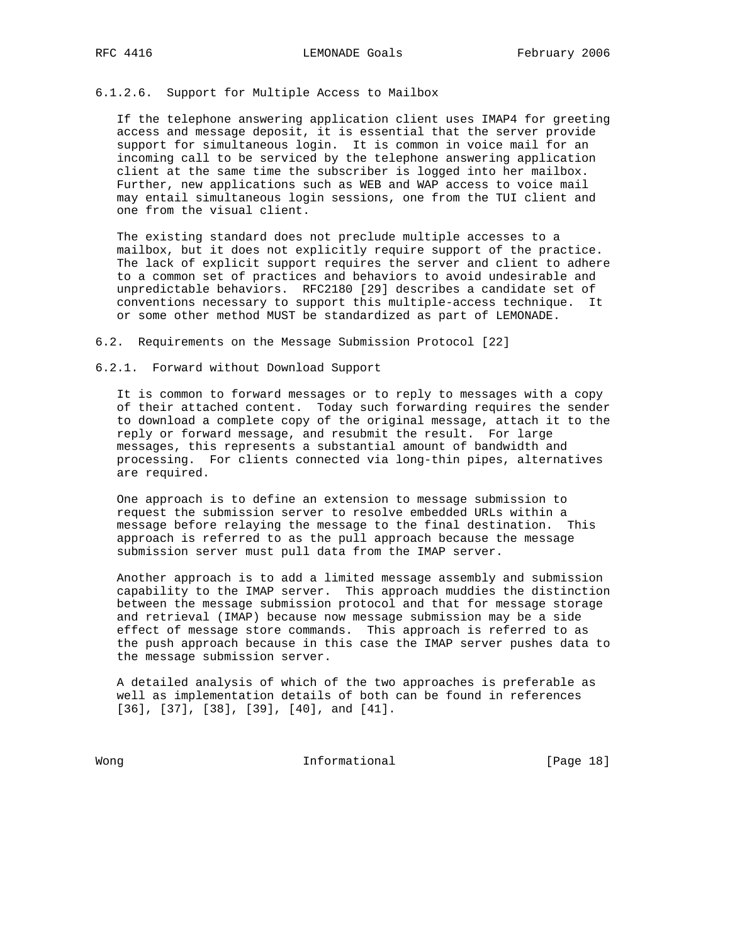## 6.1.2.6. Support for Multiple Access to Mailbox

 If the telephone answering application client uses IMAP4 for greeting access and message deposit, it is essential that the server provide support for simultaneous login. It is common in voice mail for an incoming call to be serviced by the telephone answering application client at the same time the subscriber is logged into her mailbox. Further, new applications such as WEB and WAP access to voice mail may entail simultaneous login sessions, one from the TUI client and one from the visual client.

 The existing standard does not preclude multiple accesses to a mailbox, but it does not explicitly require support of the practice. The lack of explicit support requires the server and client to adhere to a common set of practices and behaviors to avoid undesirable and unpredictable behaviors. RFC2180 [29] describes a candidate set of conventions necessary to support this multiple-access technique. It or some other method MUST be standardized as part of LEMONADE.

6.2. Requirements on the Message Submission Protocol [22]

6.2.1. Forward without Download Support

 It is common to forward messages or to reply to messages with a copy of their attached content. Today such forwarding requires the sender to download a complete copy of the original message, attach it to the reply or forward message, and resubmit the result. For large messages, this represents a substantial amount of bandwidth and processing. For clients connected via long-thin pipes, alternatives are required.

 One approach is to define an extension to message submission to request the submission server to resolve embedded URLs within a message before relaying the message to the final destination. This approach is referred to as the pull approach because the message submission server must pull data from the IMAP server.

 Another approach is to add a limited message assembly and submission capability to the IMAP server. This approach muddies the distinction between the message submission protocol and that for message storage and retrieval (IMAP) because now message submission may be a side effect of message store commands. This approach is referred to as the push approach because in this case the IMAP server pushes data to the message submission server.

 A detailed analysis of which of the two approaches is preferable as well as implementation details of both can be found in references [36], [37], [38], [39], [40], and [41].

Wong **Informational Informational Informational** [Page 18]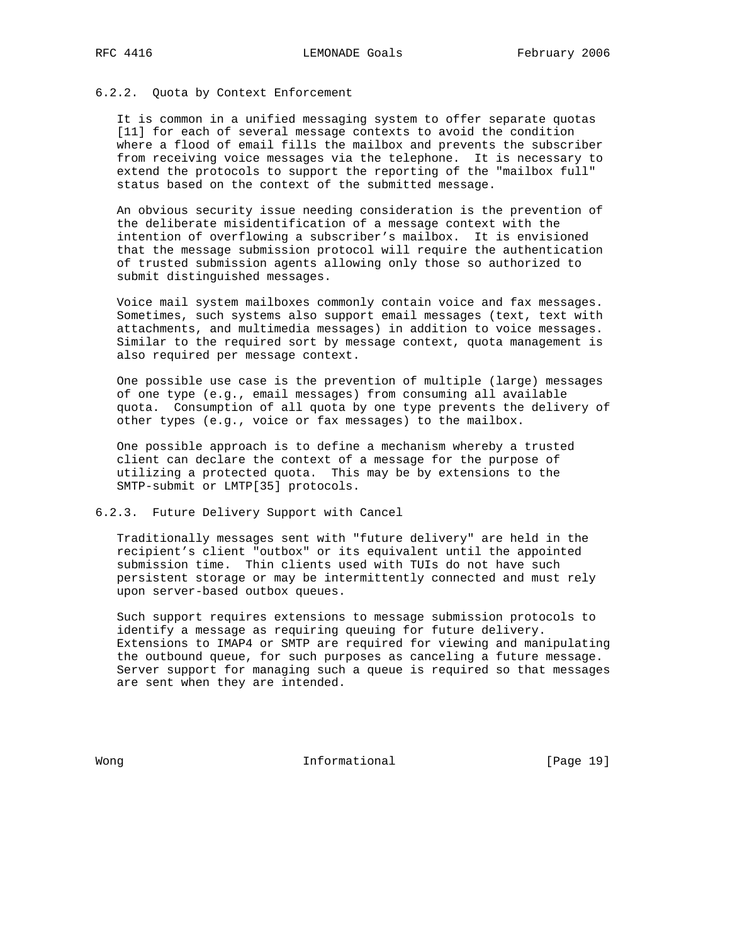## 6.2.2. Quota by Context Enforcement

 It is common in a unified messaging system to offer separate quotas [11] for each of several message contexts to avoid the condition where a flood of email fills the mailbox and prevents the subscriber from receiving voice messages via the telephone. It is necessary to extend the protocols to support the reporting of the "mailbox full" status based on the context of the submitted message.

 An obvious security issue needing consideration is the prevention of the deliberate misidentification of a message context with the intention of overflowing a subscriber's mailbox. It is envisioned that the message submission protocol will require the authentication of trusted submission agents allowing only those so authorized to submit distinguished messages.

 Voice mail system mailboxes commonly contain voice and fax messages. Sometimes, such systems also support email messages (text, text with attachments, and multimedia messages) in addition to voice messages. Similar to the required sort by message context, quota management is also required per message context.

 One possible use case is the prevention of multiple (large) messages of one type (e.g., email messages) from consuming all available quota. Consumption of all quota by one type prevents the delivery of other types (e.g., voice or fax messages) to the mailbox.

 One possible approach is to define a mechanism whereby a trusted client can declare the context of a message for the purpose of utilizing a protected quota. This may be by extensions to the SMTP-submit or LMTP[35] protocols.

#### 6.2.3. Future Delivery Support with Cancel

 Traditionally messages sent with "future delivery" are held in the recipient's client "outbox" or its equivalent until the appointed submission time. Thin clients used with TUIs do not have such persistent storage or may be intermittently connected and must rely upon server-based outbox queues.

 Such support requires extensions to message submission protocols to identify a message as requiring queuing for future delivery. Extensions to IMAP4 or SMTP are required for viewing and manipulating the outbound queue, for such purposes as canceling a future message. Server support for managing such a queue is required so that messages are sent when they are intended.

Wong **Informational Informational Informational I**Page 19]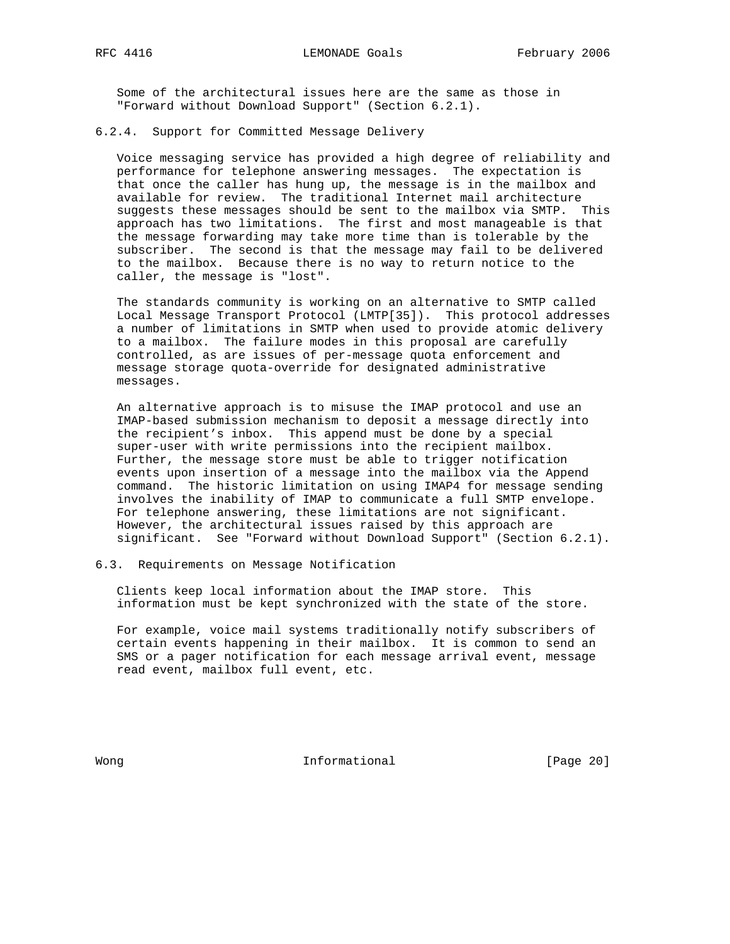Some of the architectural issues here are the same as those in "Forward without Download Support" (Section 6.2.1).

#### 6.2.4. Support for Committed Message Delivery

 Voice messaging service has provided a high degree of reliability and performance for telephone answering messages. The expectation is that once the caller has hung up, the message is in the mailbox and available for review. The traditional Internet mail architecture suggests these messages should be sent to the mailbox via SMTP. This approach has two limitations. The first and most manageable is that the message forwarding may take more time than is tolerable by the subscriber. The second is that the message may fail to be delivered to the mailbox. Because there is no way to return notice to the caller, the message is "lost".

 The standards community is working on an alternative to SMTP called Local Message Transport Protocol (LMTP[35]). This protocol addresses a number of limitations in SMTP when used to provide atomic delivery to a mailbox. The failure modes in this proposal are carefully controlled, as are issues of per-message quota enforcement and message storage quota-override for designated administrative messages.

 An alternative approach is to misuse the IMAP protocol and use an IMAP-based submission mechanism to deposit a message directly into the recipient's inbox. This append must be done by a special super-user with write permissions into the recipient mailbox. Further, the message store must be able to trigger notification events upon insertion of a message into the mailbox via the Append command. The historic limitation on using IMAP4 for message sending involves the inability of IMAP to communicate a full SMTP envelope. For telephone answering, these limitations are not significant. However, the architectural issues raised by this approach are significant. See "Forward without Download Support" (Section 6.2.1).

## 6.3. Requirements on Message Notification

 Clients keep local information about the IMAP store. This information must be kept synchronized with the state of the store.

 For example, voice mail systems traditionally notify subscribers of certain events happening in their mailbox. It is common to send an SMS or a pager notification for each message arrival event, message read event, mailbox full event, etc.

Wong **Informational Informational Informational I**Page 20]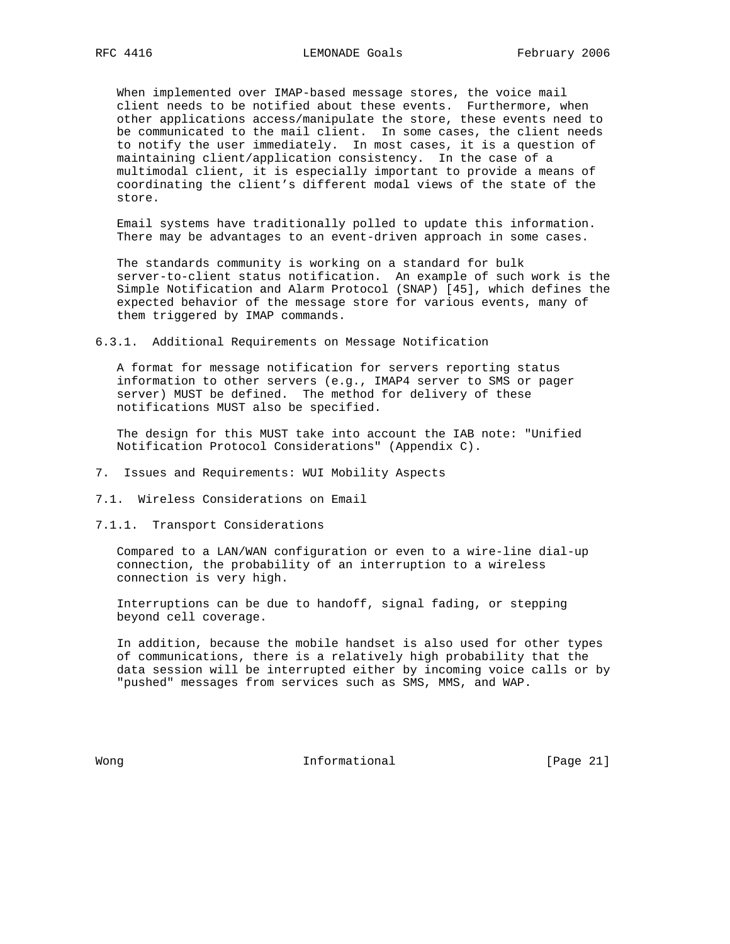When implemented over IMAP-based message stores, the voice mail client needs to be notified about these events. Furthermore, when other applications access/manipulate the store, these events need to be communicated to the mail client. In some cases, the client needs to notify the user immediately. In most cases, it is a question of maintaining client/application consistency. In the case of a multimodal client, it is especially important to provide a means of coordinating the client's different modal views of the state of the store.

 Email systems have traditionally polled to update this information. There may be advantages to an event-driven approach in some cases.

 The standards community is working on a standard for bulk server-to-client status notification. An example of such work is the Simple Notification and Alarm Protocol (SNAP) [45], which defines the expected behavior of the message store for various events, many of them triggered by IMAP commands.

6.3.1. Additional Requirements on Message Notification

 A format for message notification for servers reporting status information to other servers (e.g., IMAP4 server to SMS or pager server) MUST be defined. The method for delivery of these notifications MUST also be specified.

 The design for this MUST take into account the IAB note: "Unified Notification Protocol Considerations" (Appendix C).

- 7. Issues and Requirements: WUI Mobility Aspects
- 7.1. Wireless Considerations on Email
- 7.1.1. Transport Considerations

 Compared to a LAN/WAN configuration or even to a wire-line dial-up connection, the probability of an interruption to a wireless connection is very high.

 Interruptions can be due to handoff, signal fading, or stepping beyond cell coverage.

 In addition, because the mobile handset is also used for other types of communications, there is a relatively high probability that the data session will be interrupted either by incoming voice calls or by "pushed" messages from services such as SMS, MMS, and WAP.

Wong **Informational Informational** [Page 21]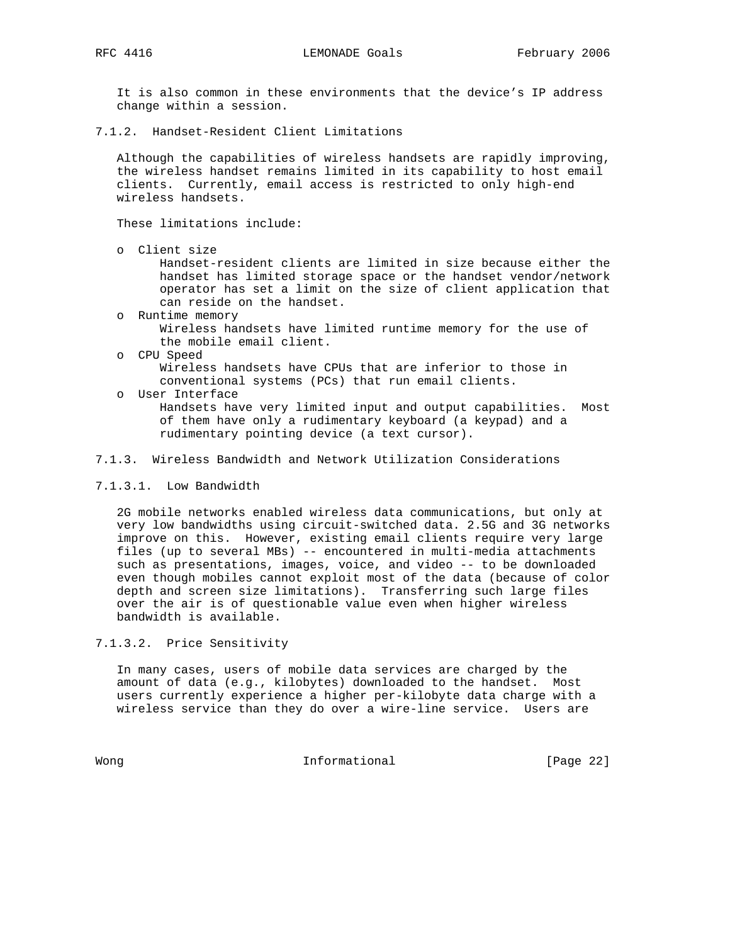It is also common in these environments that the device's IP address change within a session.

7.1.2. Handset-Resident Client Limitations

 Although the capabilities of wireless handsets are rapidly improving, the wireless handset remains limited in its capability to host email clients. Currently, email access is restricted to only high-end wireless handsets.

These limitations include:

o Client size

 Handset-resident clients are limited in size because either the handset has limited storage space or the handset vendor/network operator has set a limit on the size of client application that can reside on the handset.

- o Runtime memory Wireless handsets have limited runtime memory for the use of the mobile email client.
- o CPU Speed Wireless handsets have CPUs that are inferior to those in conventional systems (PCs) that run email clients.
- o User Interface Handsets have very limited input and output capabilities. Most of them have only a rudimentary keyboard (a keypad) and a rudimentary pointing device (a text cursor).

## 7.1.3. Wireless Bandwidth and Network Utilization Considerations

#### 7.1.3.1. Low Bandwidth

 2G mobile networks enabled wireless data communications, but only at very low bandwidths using circuit-switched data. 2.5G and 3G networks improve on this. However, existing email clients require very large files (up to several MBs) -- encountered in multi-media attachments such as presentations, images, voice, and video -- to be downloaded even though mobiles cannot exploit most of the data (because of color depth and screen size limitations). Transferring such large files over the air is of questionable value even when higher wireless bandwidth is available.

7.1.3.2. Price Sensitivity

 In many cases, users of mobile data services are charged by the amount of data (e.g., kilobytes) downloaded to the handset. Most users currently experience a higher per-kilobyte data charge with a wireless service than they do over a wire-line service. Users are

Wong **Informational Informational Informational** [Page 22]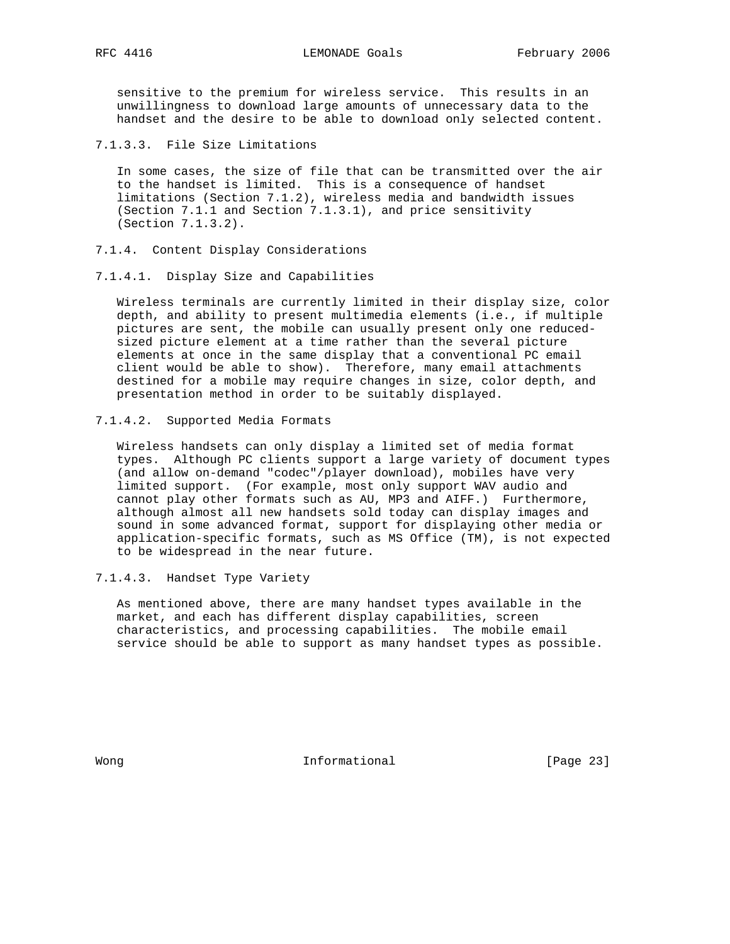sensitive to the premium for wireless service. This results in an unwillingness to download large amounts of unnecessary data to the handset and the desire to be able to download only selected content.

7.1.3.3. File Size Limitations

 In some cases, the size of file that can be transmitted over the air to the handset is limited. This is a consequence of handset limitations (Section 7.1.2), wireless media and bandwidth issues (Section 7.1.1 and Section 7.1.3.1), and price sensitivity (Section 7.1.3.2).

- 7.1.4. Content Display Considerations
- 7.1.4.1. Display Size and Capabilities

 Wireless terminals are currently limited in their display size, color depth, and ability to present multimedia elements (i.e., if multiple pictures are sent, the mobile can usually present only one reduced sized picture element at a time rather than the several picture elements at once in the same display that a conventional PC email client would be able to show). Therefore, many email attachments destined for a mobile may require changes in size, color depth, and presentation method in order to be suitably displayed.

7.1.4.2. Supported Media Formats

 Wireless handsets can only display a limited set of media format types. Although PC clients support a large variety of document types (and allow on-demand "codec"/player download), mobiles have very limited support. (For example, most only support WAV audio and cannot play other formats such as AU, MP3 and AIFF.) Furthermore, although almost all new handsets sold today can display images and sound in some advanced format, support for displaying other media or application-specific formats, such as MS Office (TM), is not expected to be widespread in the near future.

7.1.4.3. Handset Type Variety

 As mentioned above, there are many handset types available in the market, and each has different display capabilities, screen characteristics, and processing capabilities. The mobile email service should be able to support as many handset types as possible.

Wong **Informational Informational Informational [Page 23]**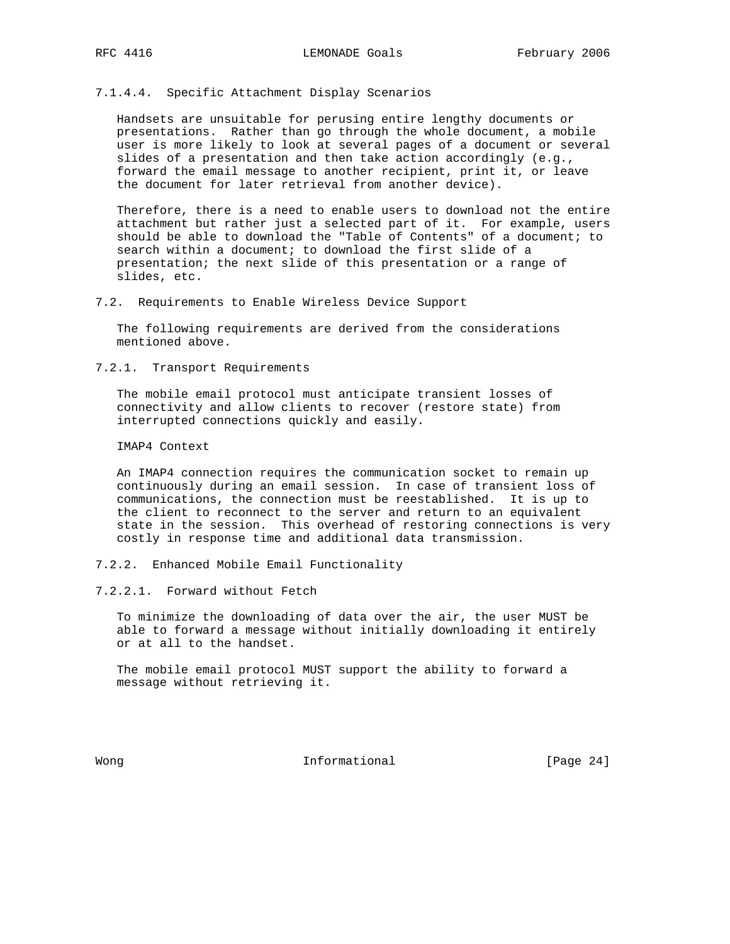## 7.1.4.4. Specific Attachment Display Scenarios

 Handsets are unsuitable for perusing entire lengthy documents or presentations. Rather than go through the whole document, a mobile user is more likely to look at several pages of a document or several slides of a presentation and then take action accordingly (e.g., forward the email message to another recipient, print it, or leave the document for later retrieval from another device).

 Therefore, there is a need to enable users to download not the entire attachment but rather just a selected part of it. For example, users should be able to download the "Table of Contents" of a document; to search within a document; to download the first slide of a presentation; the next slide of this presentation or a range of slides, etc.

7.2. Requirements to Enable Wireless Device Support

 The following requirements are derived from the considerations mentioned above.

7.2.1. Transport Requirements

 The mobile email protocol must anticipate transient losses of connectivity and allow clients to recover (restore state) from interrupted connections quickly and easily.

IMAP4 Context

 An IMAP4 connection requires the communication socket to remain up continuously during an email session. In case of transient loss of communications, the connection must be reestablished. It is up to the client to reconnect to the server and return to an equivalent state in the session. This overhead of restoring connections is very costly in response time and additional data transmission.

- 7.2.2. Enhanced Mobile Email Functionality
- 7.2.2.1. Forward without Fetch

 To minimize the downloading of data over the air, the user MUST be able to forward a message without initially downloading it entirely or at all to the handset.

 The mobile email protocol MUST support the ability to forward a message without retrieving it.

Wong **Informational Informational** [Page 24]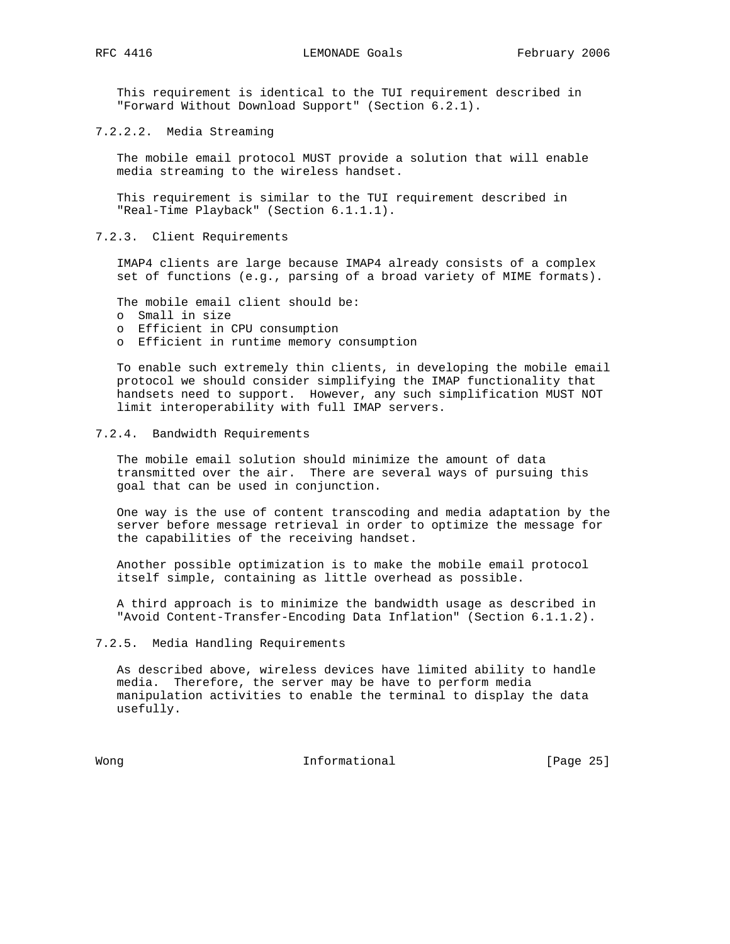This requirement is identical to the TUI requirement described in "Forward Without Download Support" (Section 6.2.1).

7.2.2.2. Media Streaming

 The mobile email protocol MUST provide a solution that will enable media streaming to the wireless handset.

 This requirement is similar to the TUI requirement described in "Real-Time Playback" (Section 6.1.1.1).

7.2.3. Client Requirements

 IMAP4 clients are large because IMAP4 already consists of a complex set of functions (e.g., parsing of a broad variety of MIME formats).

The mobile email client should be:

- o Small in size
- o Efficient in CPU consumption
- o Efficient in runtime memory consumption

 To enable such extremely thin clients, in developing the mobile email protocol we should consider simplifying the IMAP functionality that handsets need to support. However, any such simplification MUST NOT limit interoperability with full IMAP servers.

#### 7.2.4. Bandwidth Requirements

 The mobile email solution should minimize the amount of data transmitted over the air. There are several ways of pursuing this goal that can be used in conjunction.

 One way is the use of content transcoding and media adaptation by the server before message retrieval in order to optimize the message for the capabilities of the receiving handset.

 Another possible optimization is to make the mobile email protocol itself simple, containing as little overhead as possible.

 A third approach is to minimize the bandwidth usage as described in "Avoid Content-Transfer-Encoding Data Inflation" (Section 6.1.1.2).

#### 7.2.5. Media Handling Requirements

 As described above, wireless devices have limited ability to handle media. Therefore, the server may be have to perform media manipulation activities to enable the terminal to display the data usefully.

Wong **Informational Informational** [Page 25]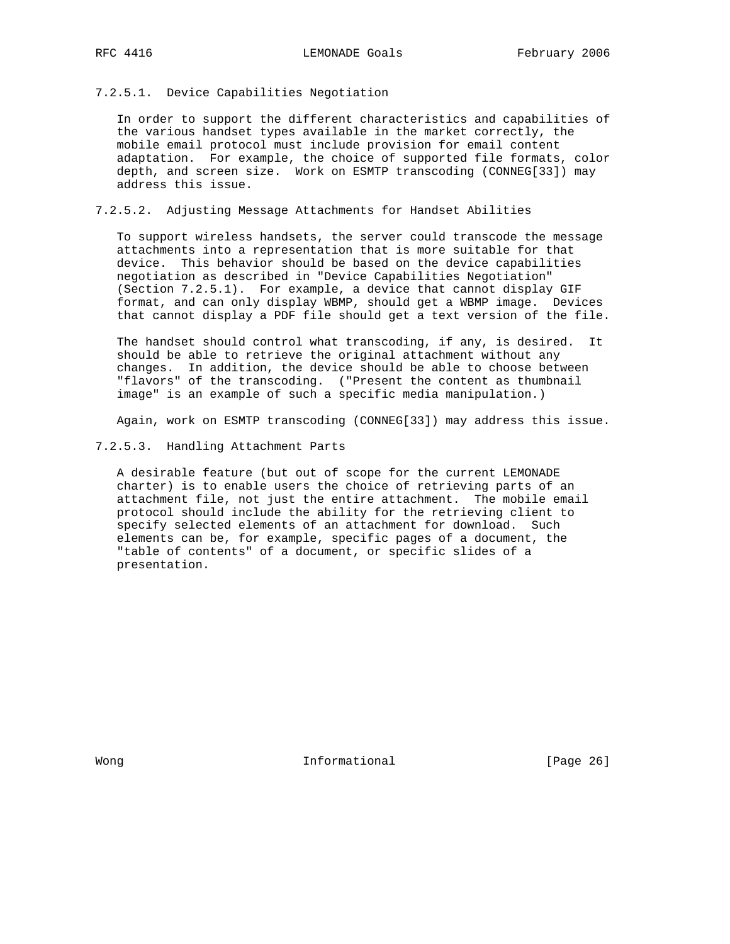## 7.2.5.1. Device Capabilities Negotiation

 In order to support the different characteristics and capabilities of the various handset types available in the market correctly, the mobile email protocol must include provision for email content adaptation. For example, the choice of supported file formats, color depth, and screen size. Work on ESMTP transcoding (CONNEG[33]) may address this issue.

# 7.2.5.2. Adjusting Message Attachments for Handset Abilities

 To support wireless handsets, the server could transcode the message attachments into a representation that is more suitable for that device. This behavior should be based on the device capabilities negotiation as described in "Device Capabilities Negotiation" (Section 7.2.5.1). For example, a device that cannot display GIF format, and can only display WBMP, should get a WBMP image. Devices that cannot display a PDF file should get a text version of the file.

 The handset should control what transcoding, if any, is desired. It should be able to retrieve the original attachment without any changes. In addition, the device should be able to choose between "flavors" of the transcoding. ("Present the content as thumbnail image" is an example of such a specific media manipulation.)

Again, work on ESMTP transcoding (CONNEG[33]) may address this issue.

7.2.5.3. Handling Attachment Parts

 A desirable feature (but out of scope for the current LEMONADE charter) is to enable users the choice of retrieving parts of an attachment file, not just the entire attachment. The mobile email protocol should include the ability for the retrieving client to specify selected elements of an attachment for download. Such elements can be, for example, specific pages of a document, the "table of contents" of a document, or specific slides of a presentation.

Wong **Informational Informational Informational [Page 26]**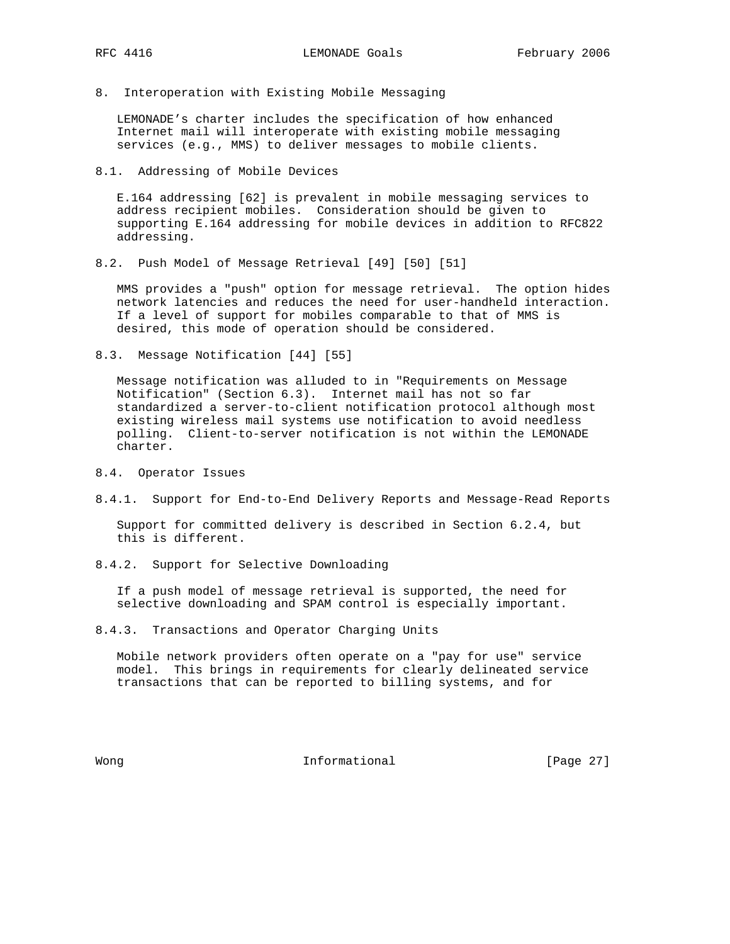8. Interoperation with Existing Mobile Messaging

 LEMONADE's charter includes the specification of how enhanced Internet mail will interoperate with existing mobile messaging services (e.g., MMS) to deliver messages to mobile clients.

8.1. Addressing of Mobile Devices

 E.164 addressing [62] is prevalent in mobile messaging services to address recipient mobiles. Consideration should be given to supporting E.164 addressing for mobile devices in addition to RFC822 addressing.

8.2. Push Model of Message Retrieval [49] [50] [51]

 MMS provides a "push" option for message retrieval. The option hides network latencies and reduces the need for user-handheld interaction. If a level of support for mobiles comparable to that of MMS is desired, this mode of operation should be considered.

8.3. Message Notification [44] [55]

 Message notification was alluded to in "Requirements on Message Notification" (Section 6.3). Internet mail has not so far standardized a server-to-client notification protocol although most existing wireless mail systems use notification to avoid needless polling. Client-to-server notification is not within the LEMONADE charter.

- 8.4. Operator Issues
- 8.4.1. Support for End-to-End Delivery Reports and Message-Read Reports

 Support for committed delivery is described in Section 6.2.4, but this is different.

8.4.2. Support for Selective Downloading

 If a push model of message retrieval is supported, the need for selective downloading and SPAM control is especially important.

8.4.3. Transactions and Operator Charging Units

 Mobile network providers often operate on a "pay for use" service model. This brings in requirements for clearly delineated service transactions that can be reported to billing systems, and for

Wong **Informational Informational** [Page 27]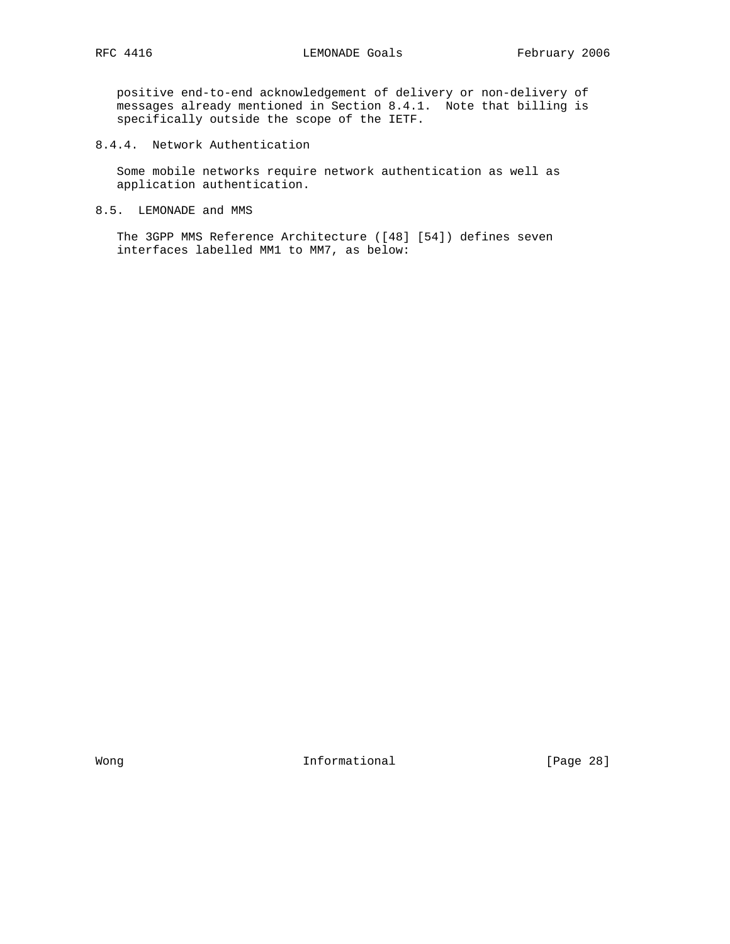positive end-to-end acknowledgement of delivery or non-delivery of messages already mentioned in Section 8.4.1. Note that billing is specifically outside the scope of the IETF.

8.4.4. Network Authentication

 Some mobile networks require network authentication as well as application authentication.

8.5. LEMONADE and MMS

 The 3GPP MMS Reference Architecture ([48] [54]) defines seven interfaces labelled MM1 to MM7, as below:

Wong **Informational Informational** [Page 28]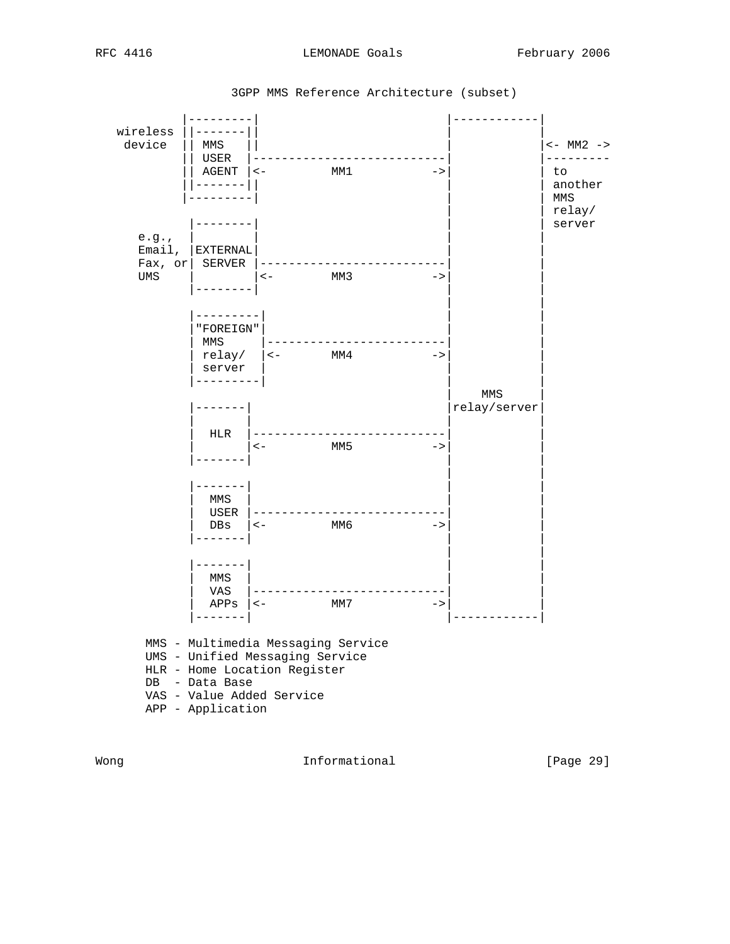| wireless<br>device                       | MMS<br>USER<br>AGENT<br>. <u>.</u> .              | $\lt$ –                                                                                                                            | MM1  | $->$          |              | $<-$ MM2 $->$<br>to<br>another<br>MMS<br>relay/ |
|------------------------------------------|---------------------------------------------------|------------------------------------------------------------------------------------------------------------------------------------|------|---------------|--------------|-------------------------------------------------|
| e.g.,<br>Email,<br>Fax, or<br><b>UMS</b> | EXTERNAL<br>SERVER                                | $\lt$ $-$                                                                                                                          | MM 3 | ->            |              | server                                          |
|                                          | -------<br>"FOREIGN"<br>MMS<br>server<br>-------- | $relay/$   <-                                                                                                                      | MM4  | $->$          | MMS          |                                                 |
|                                          | HLR                                               | $\lt$ $-$                                                                                                                          | MM5  | $->$          | relay/server |                                                 |
|                                          | -----<br>MMS<br>USER<br>DBs<br>$- - - - -$        | $\lt$ $-$                                                                                                                          | ММб  | $\rightarrow$ |              |                                                 |
|                                          | $- - - - - -$<br>MMS<br>VAS<br>APPs               | $\leftarrow$                                                                                                                       | MM7  | ->            |              |                                                 |
|                                          | DB - Data Base<br>APP - Application               | MMS - Multimedia Messaging Service<br>UMS - Unified Messaging Service<br>HLR - Home Location Register<br>VAS - Value Added Service |      |               |              |                                                 |

3GPP MMS Reference Architecture (subset)

Wong **Informational Informational Informational** [Page 29]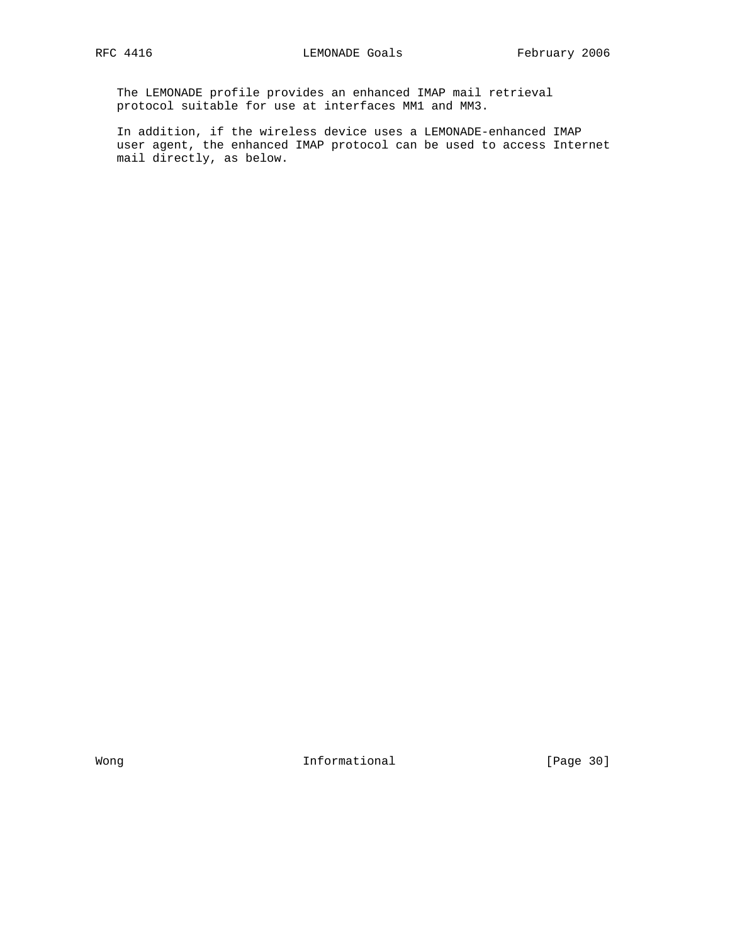The LEMONADE profile provides an enhanced IMAP mail retrieval protocol suitable for use at interfaces MM1 and MM3.

 In addition, if the wireless device uses a LEMONADE-enhanced IMAP user agent, the enhanced IMAP protocol can be used to access Internet mail directly, as below.

Wong **Informational Informational** [Page 30]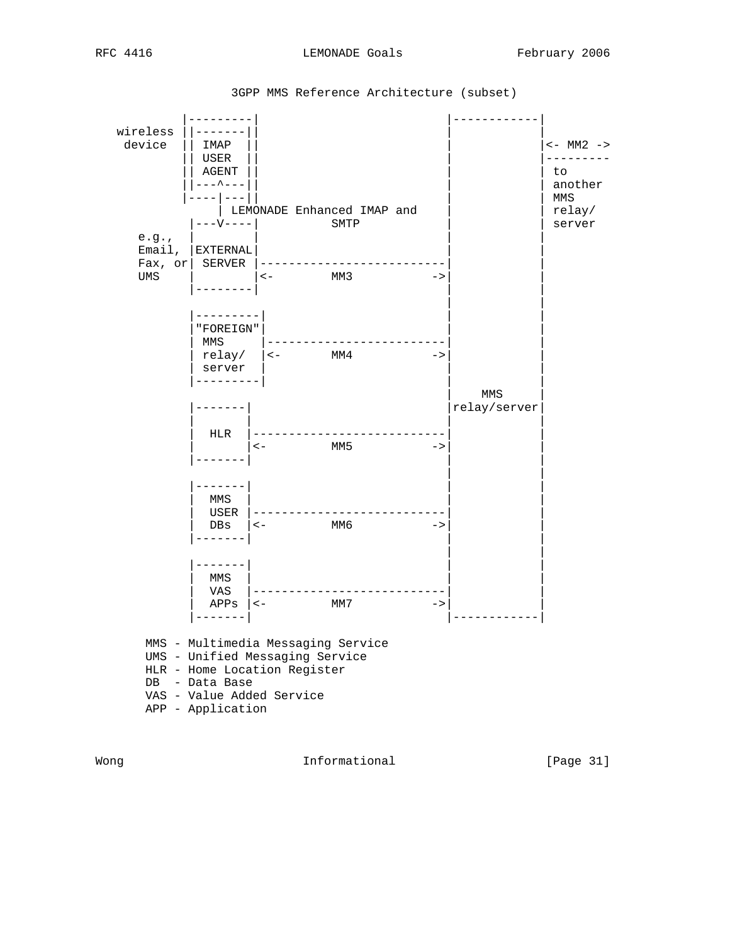| $\sim$<br>ים כו<br>↽ | 4 | г | י |  |
|----------------------|---|---|---|--|
|----------------------|---|---|---|--|

| wireless        |                                                                                                                                                                           |                     |                          |
|-----------------|---------------------------------------------------------------------------------------------------------------------------------------------------------------------------|---------------------|--------------------------|
| device          | IMAP<br>USER<br>AGENT                                                                                                                                                     |                     | $<-$ MM2 $->$<br>to      |
|                 | - - ^ - - -<br>LEMONADE Enhanced IMAP and                                                                                                                                 |                     | another<br>MMS<br>relay/ |
| e.g.,<br>Email, | ---V----<br>SMTP<br>  EXTERNAL                                                                                                                                            |                     | server                   |
| Fax, or<br>UMS  | SERVER<br>MM3<br>$\leftarrow$<br>$\rightarrow$                                                                                                                            |                     |                          |
|                 | - - - - - - - - -<br>"FOREIGN"<br>MMS<br>$relay /$ $ $ <- MM4<br>$->$<br>server<br>$- - - - - - -$                                                                        |                     |                          |
|                 |                                                                                                                                                                           | MMS<br>relay/server |                          |
|                 | HLR<br>MM5<br>$\lt$ $-$<br>$\rightarrow$                                                                                                                                  |                     |                          |
|                 | ------<br>MMS<br>USER<br>$\lt-$<br>ММб<br>DBs<br>$->$<br>$- - - - - - -$                                                                                                  |                     |                          |
|                 | ------<br>MMS<br>VAS<br>$APPS$   <-<br>MM7<br>$->$<br>$------$                                                                                                            |                     |                          |
|                 | MMS - Multimedia Messaging Service<br>UMS - Unified Messaging Service<br>HLR - Home Location Register<br>DB - Data Base<br>VAS - Value Added Service<br>APP - Application |                     |                          |

3GPP MMS Reference Architecture (subset)

Wong **Informational Informational** [Page 31]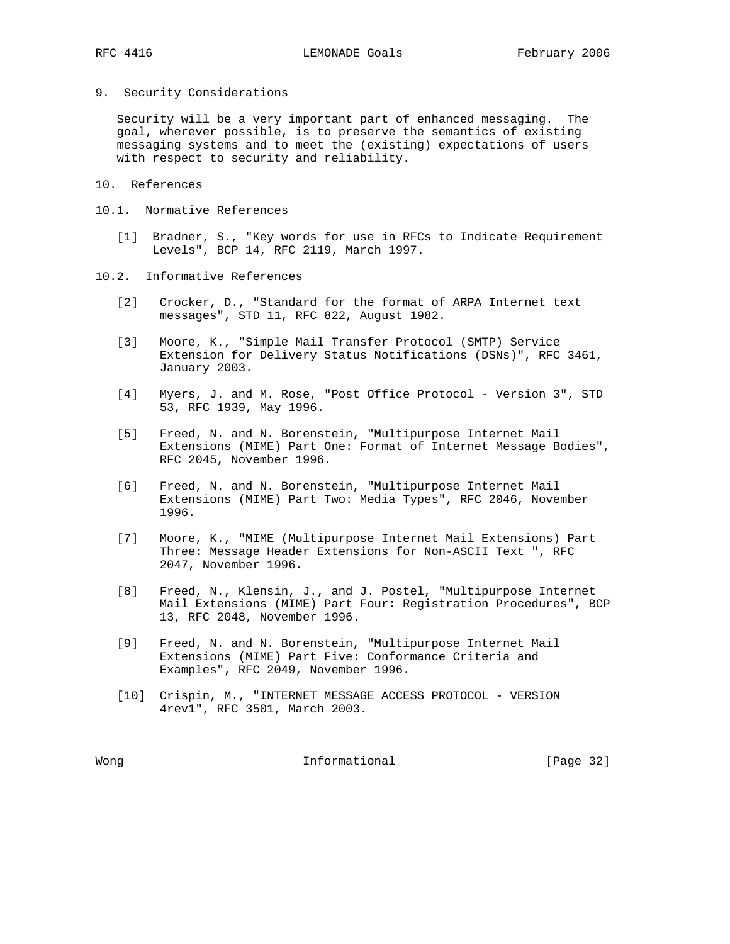9. Security Considerations

 Security will be a very important part of enhanced messaging. The goal, wherever possible, is to preserve the semantics of existing messaging systems and to meet the (existing) expectations of users with respect to security and reliability.

- 10. References
- 10.1. Normative References
	- [1] Bradner, S., "Key words for use in RFCs to Indicate Requirement Levels", BCP 14, RFC 2119, March 1997.
- 10.2. Informative References
	- [2] Crocker, D., "Standard for the format of ARPA Internet text messages", STD 11, RFC 822, August 1982.
	- [3] Moore, K., "Simple Mail Transfer Protocol (SMTP) Service Extension for Delivery Status Notifications (DSNs)", RFC 3461, January 2003.
	- [4] Myers, J. and M. Rose, "Post Office Protocol Version 3", STD 53, RFC 1939, May 1996.
	- [5] Freed, N. and N. Borenstein, "Multipurpose Internet Mail Extensions (MIME) Part One: Format of Internet Message Bodies", RFC 2045, November 1996.
	- [6] Freed, N. and N. Borenstein, "Multipurpose Internet Mail Extensions (MIME) Part Two: Media Types", RFC 2046, November 1996.
	- [7] Moore, K., "MIME (Multipurpose Internet Mail Extensions) Part Three: Message Header Extensions for Non-ASCII Text ", RFC 2047, November 1996.
	- [8] Freed, N., Klensin, J., and J. Postel, "Multipurpose Internet Mail Extensions (MIME) Part Four: Registration Procedures", BCP 13, RFC 2048, November 1996.
	- [9] Freed, N. and N. Borenstein, "Multipurpose Internet Mail Extensions (MIME) Part Five: Conformance Criteria and Examples", RFC 2049, November 1996.
	- [10] Crispin, M., "INTERNET MESSAGE ACCESS PROTOCOL VERSION 4rev1", RFC 3501, March 2003.

Wong **Informational Informational** [Page 32]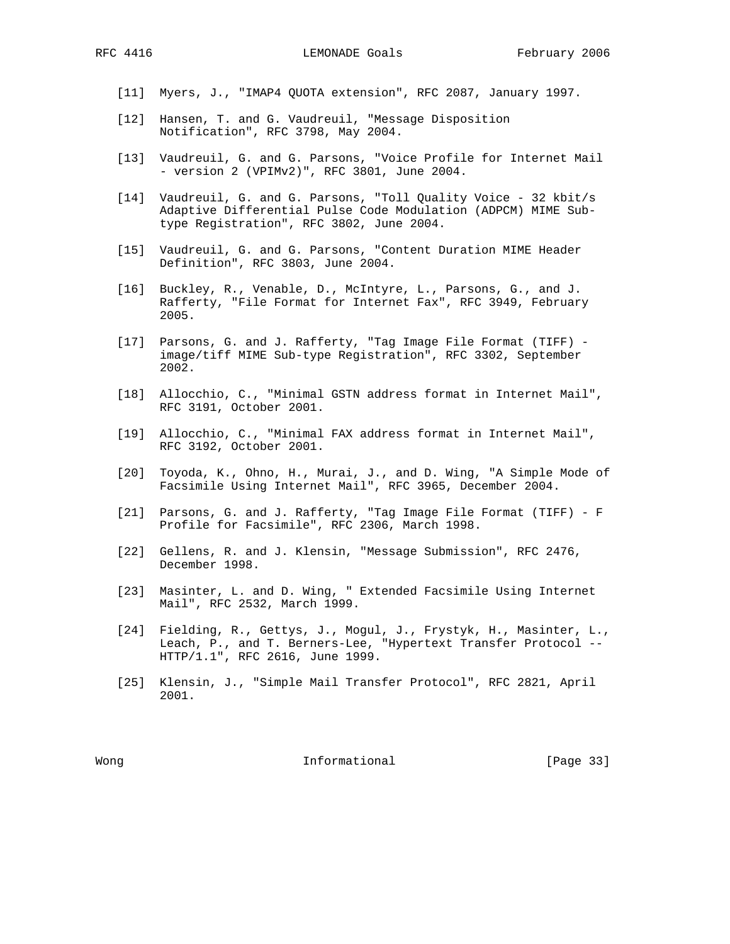[11] Myers, J., "IMAP4 QUOTA extension", RFC 2087, January 1997.

- [12] Hansen, T. and G. Vaudreuil, "Message Disposition Notification", RFC 3798, May 2004.
- [13] Vaudreuil, G. and G. Parsons, "Voice Profile for Internet Mail - version 2 (VPIMv2)", RFC 3801, June 2004.
- [14] Vaudreuil, G. and G. Parsons, "Toll Quality Voice 32 kbit/s Adaptive Differential Pulse Code Modulation (ADPCM) MIME Sub type Registration", RFC 3802, June 2004.
- [15] Vaudreuil, G. and G. Parsons, "Content Duration MIME Header Definition", RFC 3803, June 2004.
- [16] Buckley, R., Venable, D., McIntyre, L., Parsons, G., and J. Rafferty, "File Format for Internet Fax", RFC 3949, February 2005.
- [17] Parsons, G. and J. Rafferty, "Tag Image File Format (TIFF) image/tiff MIME Sub-type Registration", RFC 3302, September 2002.
- [18] Allocchio, C., "Minimal GSTN address format in Internet Mail", RFC 3191, October 2001.
- [19] Allocchio, C., "Minimal FAX address format in Internet Mail", RFC 3192, October 2001.
- [20] Toyoda, K., Ohno, H., Murai, J., and D. Wing, "A Simple Mode of Facsimile Using Internet Mail", RFC 3965, December 2004.
- [21] Parsons, G. and J. Rafferty, "Tag Image File Format (TIFF) F Profile for Facsimile", RFC 2306, March 1998.
- [22] Gellens, R. and J. Klensin, "Message Submission", RFC 2476, December 1998.
- [23] Masinter, L. and D. Wing, " Extended Facsimile Using Internet Mail", RFC 2532, March 1999.
- [24] Fielding, R., Gettys, J., Mogul, J., Frystyk, H., Masinter, L., Leach, P., and T. Berners-Lee, "Hypertext Transfer Protocol -- HTTP/1.1", RFC 2616, June 1999.
- [25] Klensin, J., "Simple Mail Transfer Protocol", RFC 2821, April 2001.

Wong **Informational Informational Informational [Page 33]**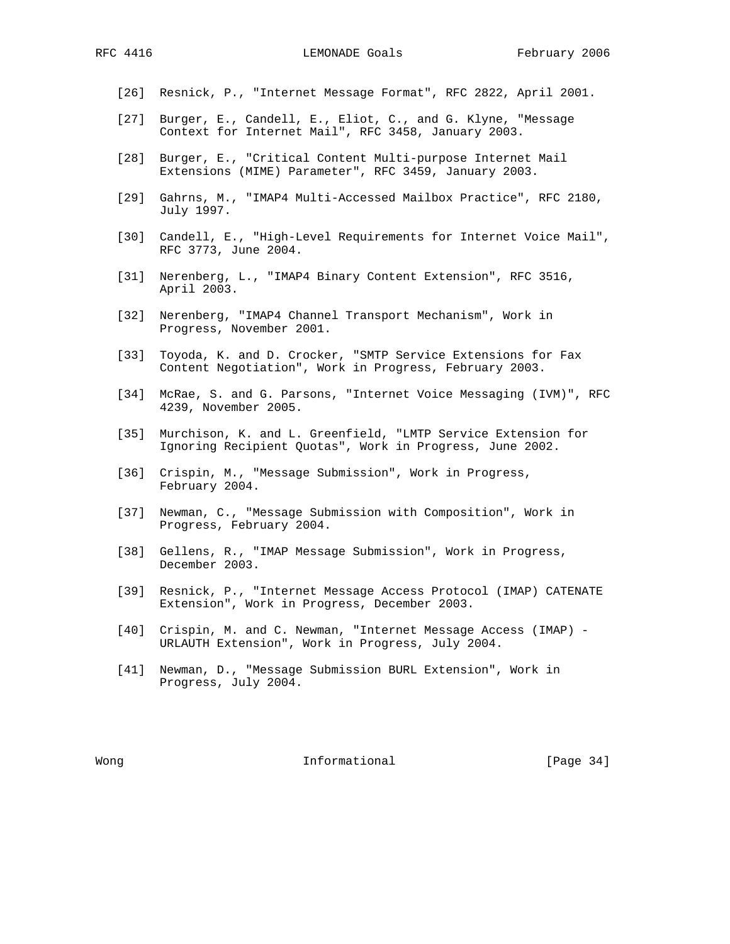- [26] Resnick, P., "Internet Message Format", RFC 2822, April 2001.
- [27] Burger, E., Candell, E., Eliot, C., and G. Klyne, "Message Context for Internet Mail", RFC 3458, January 2003.
- [28] Burger, E., "Critical Content Multi-purpose Internet Mail Extensions (MIME) Parameter", RFC 3459, January 2003.
- [29] Gahrns, M., "IMAP4 Multi-Accessed Mailbox Practice", RFC 2180, July 1997.
- [30] Candell, E., "High-Level Requirements for Internet Voice Mail", RFC 3773, June 2004.
- [31] Nerenberg, L., "IMAP4 Binary Content Extension", RFC 3516, April 2003.
- [32] Nerenberg, "IMAP4 Channel Transport Mechanism", Work in Progress, November 2001.
- [33] Toyoda, K. and D. Crocker, "SMTP Service Extensions for Fax Content Negotiation", Work in Progress, February 2003.
- [34] McRae, S. and G. Parsons, "Internet Voice Messaging (IVM)", RFC 4239, November 2005.
- [35] Murchison, K. and L. Greenfield, "LMTP Service Extension for Ignoring Recipient Quotas", Work in Progress, June 2002.
- [36] Crispin, M., "Message Submission", Work in Progress, February 2004.
- [37] Newman, C., "Message Submission with Composition", Work in Progress, February 2004.
- [38] Gellens, R., "IMAP Message Submission", Work in Progress, December 2003.
- [39] Resnick, P., "Internet Message Access Protocol (IMAP) CATENATE Extension", Work in Progress, December 2003.
- [40] Crispin, M. and C. Newman, "Internet Message Access (IMAP) URLAUTH Extension", Work in Progress, July 2004.
- [41] Newman, D., "Message Submission BURL Extension", Work in Progress, July 2004.

Wong **Informational Informational** [Page 34]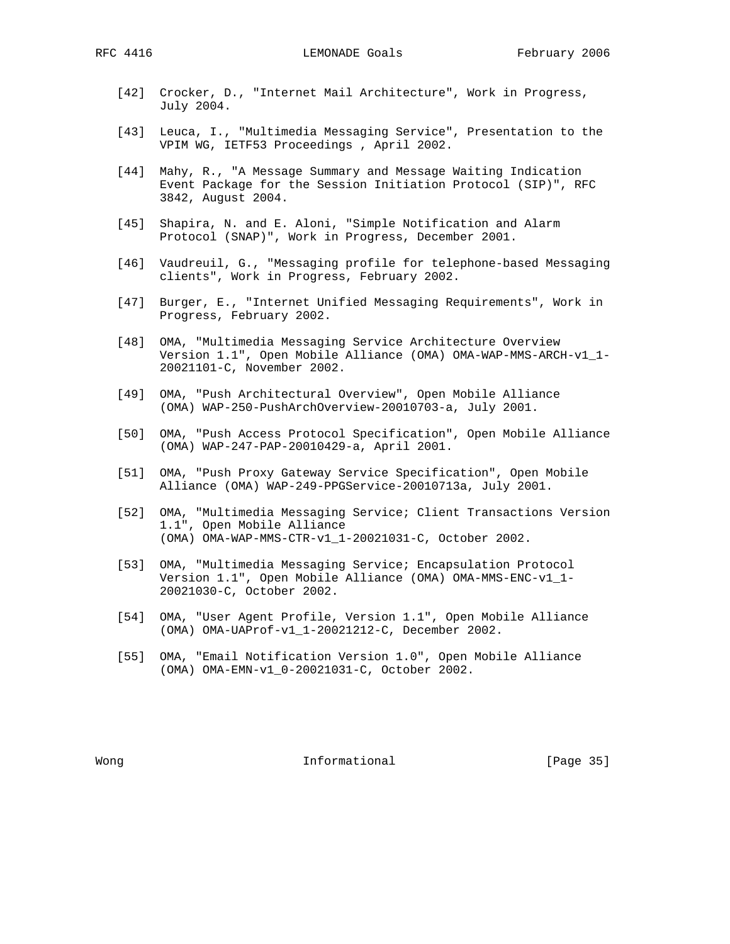- [42] Crocker, D., "Internet Mail Architecture", Work in Progress, July 2004.
- [43] Leuca, I., "Multimedia Messaging Service", Presentation to the VPIM WG, IETF53 Proceedings , April 2002.
- [44] Mahy, R., "A Message Summary and Message Waiting Indication Event Package for the Session Initiation Protocol (SIP)", RFC 3842, August 2004.
- [45] Shapira, N. and E. Aloni, "Simple Notification and Alarm Protocol (SNAP)", Work in Progress, December 2001.
- [46] Vaudreuil, G., "Messaging profile for telephone-based Messaging clients", Work in Progress, February 2002.
- [47] Burger, E., "Internet Unified Messaging Requirements", Work in Progress, February 2002.
- [48] OMA, "Multimedia Messaging Service Architecture Overview Version 1.1", Open Mobile Alliance (OMA) OMA-WAP-MMS-ARCH-v1\_1- 20021101-C, November 2002.
- [49] OMA, "Push Architectural Overview", Open Mobile Alliance (OMA) WAP-250-PushArchOverview-20010703-a, July 2001.
- [50] OMA, "Push Access Protocol Specification", Open Mobile Alliance (OMA) WAP-247-PAP-20010429-a, April 2001.
- [51] OMA, "Push Proxy Gateway Service Specification", Open Mobile Alliance (OMA) WAP-249-PPGService-20010713a, July 2001.
- [52] OMA, "Multimedia Messaging Service; Client Transactions Version 1.1", Open Mobile Alliance (OMA) OMA-WAP-MMS-CTR-v1\_1-20021031-C, October 2002.
- [53] OMA, "Multimedia Messaging Service; Encapsulation Protocol Version 1.1", Open Mobile Alliance (OMA) OMA-MMS-ENC-v1\_1- 20021030-C, October 2002.
- [54] OMA, "User Agent Profile, Version 1.1", Open Mobile Alliance (OMA) OMA-UAProf-v1\_1-20021212-C, December 2002.
- [55] OMA, "Email Notification Version 1.0", Open Mobile Alliance (OMA) OMA-EMN-v1\_0-20021031-C, October 2002.

Wong **Informational Informational Informational [Page 35]**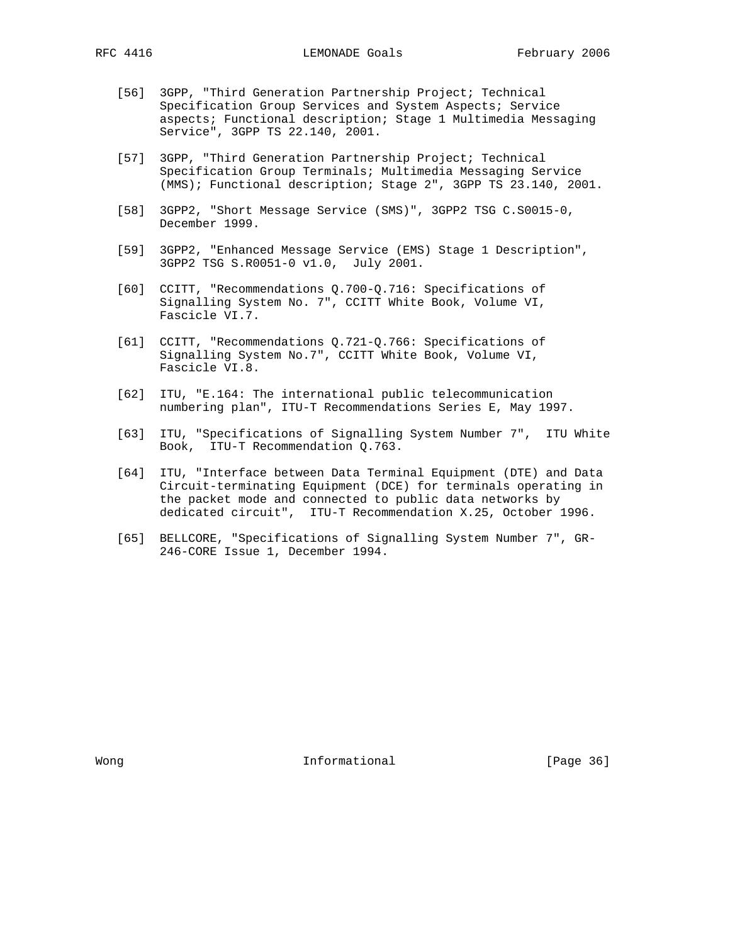- [56] 3GPP, "Third Generation Partnership Project; Technical Specification Group Services and System Aspects; Service aspects; Functional description; Stage 1 Multimedia Messaging Service", 3GPP TS 22.140, 2001.
- [57] 3GPP, "Third Generation Partnership Project; Technical Specification Group Terminals; Multimedia Messaging Service (MMS); Functional description; Stage 2", 3GPP TS 23.140, 2001.
- [58] 3GPP2, "Short Message Service (SMS)", 3GPP2 TSG C.S0015-0, December 1999.
- [59] 3GPP2, "Enhanced Message Service (EMS) Stage 1 Description", 3GPP2 TSG S.R0051-0 v1.0, July 2001.
- [60] CCITT, "Recommendations Q.700-Q.716: Specifications of Signalling System No. 7", CCITT White Book, Volume VI, Fascicle VI.7.
- [61] CCITT, "Recommendations Q.721-Q.766: Specifications of Signalling System No.7", CCITT White Book, Volume VI, Fascicle VI.8.
- [62] ITU, "E.164: The international public telecommunication numbering plan", ITU-T Recommendations Series E, May 1997.
- [63] ITU, "Specifications of Signalling System Number 7", ITU White Book, ITU-T Recommendation Q.763.
- [64] ITU, "Interface between Data Terminal Equipment (DTE) and Data Circuit-terminating Equipment (DCE) for terminals operating in the packet mode and connected to public data networks by dedicated circuit", ITU-T Recommendation X.25, October 1996.
- [65] BELLCORE, "Specifications of Signalling System Number 7", GR- 246-CORE Issue 1, December 1994.

Wong **Informational Informational Informational [Page 36]**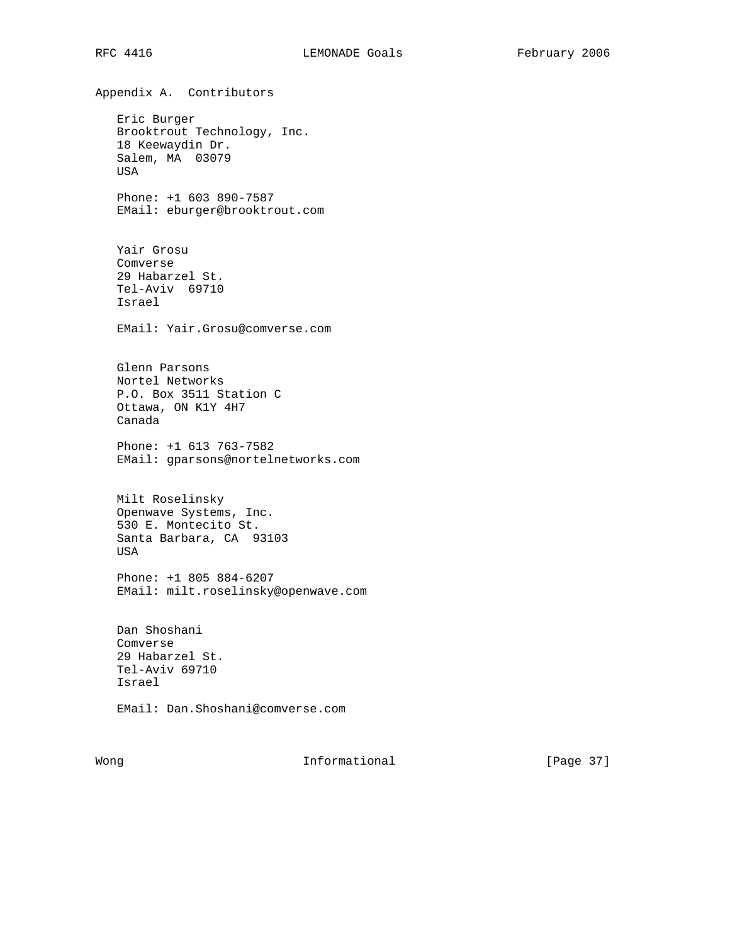Appendix A. Contributors Eric Burger Brooktrout Technology, Inc. 18 Keewaydin Dr. Salem, MA 03079 USA Phone: +1 603 890-7587 EMail: eburger@brooktrout.com Yair Grosu Comverse 29 Habarzel St. Tel-Aviv 69710 Israel EMail: Yair.Grosu@comverse.com Glenn Parsons Nortel Networks P.O. Box 3511 Station C Ottawa, ON K1Y 4H7 Canada Phone: +1 613 763-7582 EMail: gparsons@nortelnetworks.com Milt Roselinsky Openwave Systems, Inc. 530 E. Montecito St. Santa Barbara, CA 93103 USA Phone: +1 805 884-6207 EMail: milt.roselinsky@openwave.com Dan Shoshani Comverse 29 Habarzel St. Tel-Aviv 69710 Israel EMail: Dan.Shoshani@comverse.com

Wong **Informational Informational** [Page 37]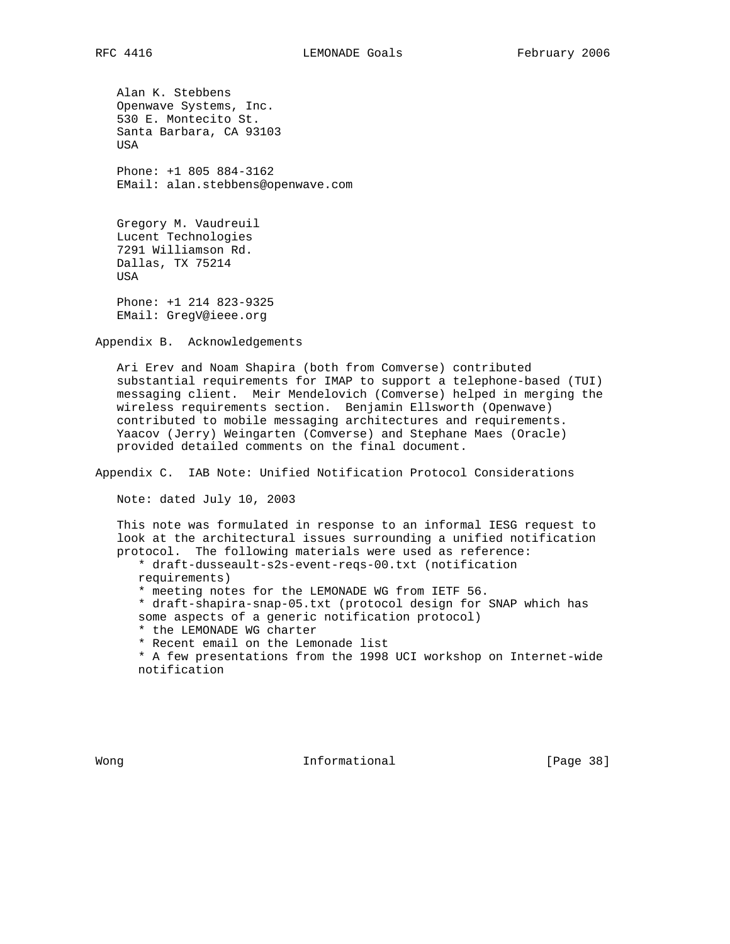Alan K. Stebbens Openwave Systems, Inc. 530 E. Montecito St. Santa Barbara, CA 93103 USA Phone: +1 805 884-3162 EMail: alan.stebbens@openwave.com

 Gregory M. Vaudreuil Lucent Technologies 7291 Williamson Rd. Dallas, TX 75214 USA Phone: +1 214 823-9325

EMail: GregV@ieee.org

Appendix B. Acknowledgements

 Ari Erev and Noam Shapira (both from Comverse) contributed substantial requirements for IMAP to support a telephone-based (TUI) messaging client. Meir Mendelovich (Comverse) helped in merging the wireless requirements section. Benjamin Ellsworth (Openwave) contributed to mobile messaging architectures and requirements. Yaacov (Jerry) Weingarten (Comverse) and Stephane Maes (Oracle) provided detailed comments on the final document.

Appendix C. IAB Note: Unified Notification Protocol Considerations

Note: dated July 10, 2003

 This note was formulated in response to an informal IESG request to look at the architectural issues surrounding a unified notification protocol. The following materials were used as reference:

 \* draft-dusseault-s2s-event-reqs-00.txt (notification requirements)

\* meeting notes for the LEMONADE WG from IETF 56.

 \* draft-shapira-snap-05.txt (protocol design for SNAP which has some aspects of a generic notification protocol)

\* the LEMONADE WG charter

\* Recent email on the Lemonade list

 \* A few presentations from the 1998 UCI workshop on Internet-wide notification

Wong **Informational Informational** [Page 38]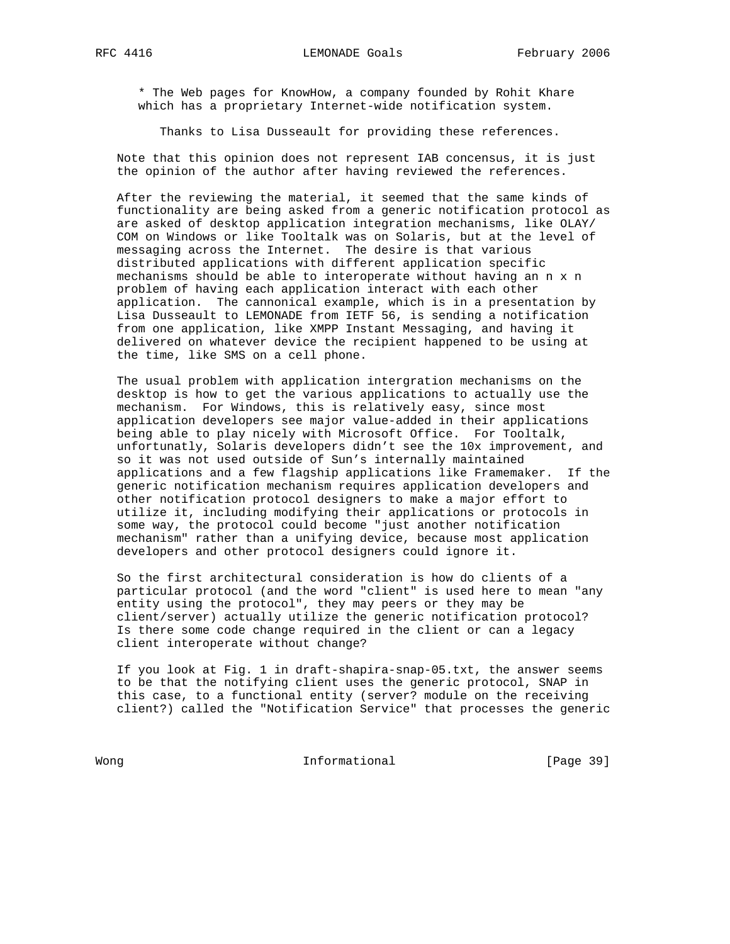\* The Web pages for KnowHow, a company founded by Rohit Khare which has a proprietary Internet-wide notification system.

Thanks to Lisa Dusseault for providing these references.

 Note that this opinion does not represent IAB concensus, it is just the opinion of the author after having reviewed the references.

 After the reviewing the material, it seemed that the same kinds of functionality are being asked from a generic notification protocol as are asked of desktop application integration mechanisms, like OLAY/ COM on Windows or like Tooltalk was on Solaris, but at the level of messaging across the Internet. The desire is that various distributed applications with different application specific mechanisms should be able to interoperate without having an n x n problem of having each application interact with each other application. The cannonical example, which is in a presentation by Lisa Dusseault to LEMONADE from IETF 56, is sending a notification from one application, like XMPP Instant Messaging, and having it delivered on whatever device the recipient happened to be using at the time, like SMS on a cell phone.

 The usual problem with application intergration mechanisms on the desktop is how to get the various applications to actually use the mechanism. For Windows, this is relatively easy, since most application developers see major value-added in their applications being able to play nicely with Microsoft Office. For Tooltalk, unfortunatly, Solaris developers didn't see the 10x improvement, and so it was not used outside of Sun's internally maintained applications and a few flagship applications like Framemaker. If the generic notification mechanism requires application developers and other notification protocol designers to make a major effort to utilize it, including modifying their applications or protocols in some way, the protocol could become "just another notification mechanism" rather than a unifying device, because most application developers and other protocol designers could ignore it.

 So the first architectural consideration is how do clients of a particular protocol (and the word "client" is used here to mean "any entity using the protocol", they may peers or they may be client/server) actually utilize the generic notification protocol? Is there some code change required in the client or can a legacy client interoperate without change?

 If you look at Fig. 1 in draft-shapira-snap-05.txt, the answer seems to be that the notifying client uses the generic protocol, SNAP in this case, to a functional entity (server? module on the receiving client?) called the "Notification Service" that processes the generic

Wong **Informational Informational** [Page 39]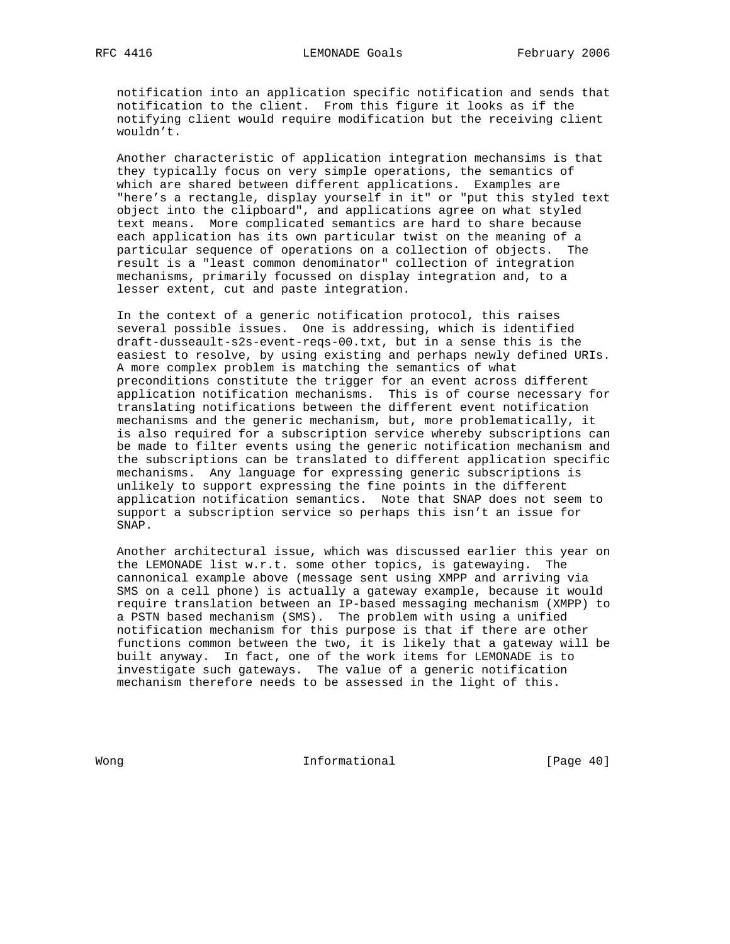notification into an application specific notification and sends that notification to the client. From this figure it looks as if the notifying client would require modification but the receiving client wouldn't.

 Another characteristic of application integration mechansims is that they typically focus on very simple operations, the semantics of which are shared between different applications. Examples are "here's a rectangle, display yourself in it" or "put this styled text object into the clipboard", and applications agree on what styled text means. More complicated semantics are hard to share because each application has its own particular twist on the meaning of a particular sequence of operations on a collection of objects. The result is a "least common denominator" collection of integration mechanisms, primarily focussed on display integration and, to a lesser extent, cut and paste integration.

 In the context of a generic notification protocol, this raises several possible issues. One is addressing, which is identified draft-dusseault-s2s-event-reqs-00.txt, but in a sense this is the easiest to resolve, by using existing and perhaps newly defined URIs. A more complex problem is matching the semantics of what preconditions constitute the trigger for an event across different application notification mechanisms. This is of course necessary for translating notifications between the different event notification mechanisms and the generic mechanism, but, more problematically, it is also required for a subscription service whereby subscriptions can be made to filter events using the generic notification mechanism and the subscriptions can be translated to different application specific mechanisms. Any language for expressing generic subscriptions is unlikely to support expressing the fine points in the different application notification semantics. Note that SNAP does not seem to support a subscription service so perhaps this isn't an issue for SNAP.

 Another architectural issue, which was discussed earlier this year on the LEMONADE list w.r.t. some other topics, is gatewaying. The cannonical example above (message sent using XMPP and arriving via SMS on a cell phone) is actually a gateway example, because it would require translation between an IP-based messaging mechanism (XMPP) to a PSTN based mechanism (SMS). The problem with using a unified notification mechanism for this purpose is that if there are other functions common between the two, it is likely that a gateway will be built anyway. In fact, one of the work items for LEMONADE is to investigate such gateways. The value of a generic notification mechanism therefore needs to be assessed in the light of this.

Wong **Informational Informational** [Page 40]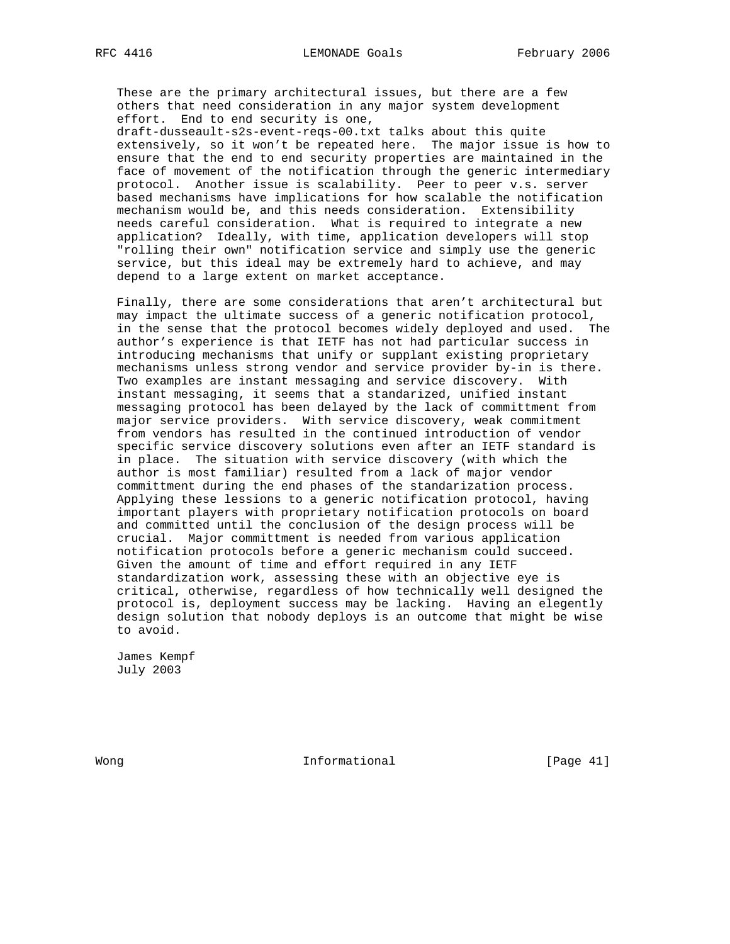These are the primary architectural issues, but there are a few others that need consideration in any major system development effort. End to end security is one,

 draft-dusseault-s2s-event-reqs-00.txt talks about this quite extensively, so it won't be repeated here. The major issue is how to ensure that the end to end security properties are maintained in the face of movement of the notification through the generic intermediary protocol. Another issue is scalability. Peer to peer v.s. server based mechanisms have implications for how scalable the notification mechanism would be, and this needs consideration. Extensibility needs careful consideration. What is required to integrate a new application? Ideally, with time, application developers will stop "rolling their own" notification service and simply use the generic service, but this ideal may be extremely hard to achieve, and may depend to a large extent on market acceptance.

 Finally, there are some considerations that aren't architectural but may impact the ultimate success of a generic notification protocol, in the sense that the protocol becomes widely deployed and used. The author's experience is that IETF has not had particular success in introducing mechanisms that unify or supplant existing proprietary mechanisms unless strong vendor and service provider by-in is there. Two examples are instant messaging and service discovery. With instant messaging, it seems that a standarized, unified instant messaging protocol has been delayed by the lack of committment from major service providers. With service discovery, weak commitment from vendors has resulted in the continued introduction of vendor specific service discovery solutions even after an IETF standard is in place. The situation with service discovery (with which the author is most familiar) resulted from a lack of major vendor committment during the end phases of the standarization process. Applying these lessions to a generic notification protocol, having important players with proprietary notification protocols on board and committed until the conclusion of the design process will be crucial. Major committment is needed from various application notification protocols before a generic mechanism could succeed. Given the amount of time and effort required in any IETF standardization work, assessing these with an objective eye is critical, otherwise, regardless of how technically well designed the protocol is, deployment success may be lacking. Having an elegently design solution that nobody deploys is an outcome that might be wise to avoid.

 James Kempf July 2003

Wong **Informational Informational** [Page 41]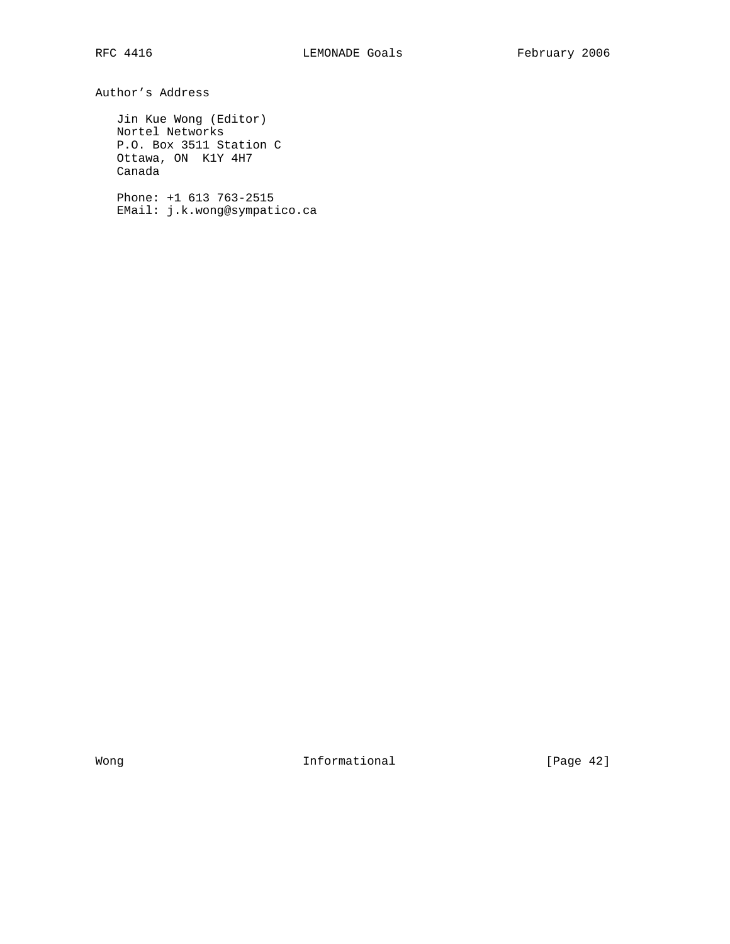Author's Address

 Jin Kue Wong (Editor) Nortel Networks P.O. Box 3511 Station C Ottawa, ON K1Y 4H7 Canada

 Phone: +1 613 763-2515 EMail: j.k.wong@sympatico.ca

Wong **Informational Informational** [Page 42]